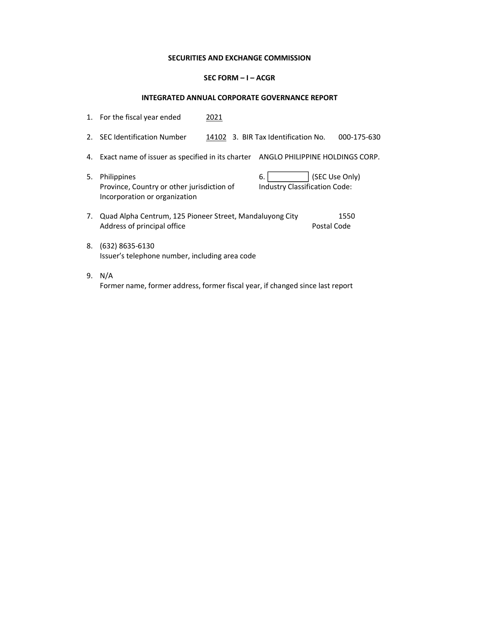## SECURITIES AND EXCHANGE COMMISSION

## SEC FORM – I – ACGR

## INTEGRATED ANNUAL CORPORATE GOVERNANCE REPORT

|    | 1. For the fiscal year ended                                                                      | 2021 |                                            |                     |
|----|---------------------------------------------------------------------------------------------------|------|--------------------------------------------|---------------------|
| 2. | <b>SEC Identification Number</b>                                                                  |      | 14102 3. BIR Tax Identification No.        | 000-175-630         |
| 4. | Exact name of issuer as specified in its charter ANGLO PHILIPPINE HOLDINGS CORP.                  |      |                                            |                     |
| 5. | <b>Philippines</b><br>Province, Country or other jurisdiction of<br>Incorporation or organization |      | 6.<br><b>Industry Classification Code:</b> | (SEC Use Only)      |
| 7. | Quad Alpha Centrum, 125 Pioneer Street, Mandaluyong City<br>Address of principal office           |      |                                            | 1550<br>Postal Code |
| 8. | $(632)$ 8635-6130<br>Issuer's telephone number, including area code                               |      |                                            |                     |
| 9. | N/A<br>Former name, former address, former fiscal year, if changed since last report              |      |                                            |                     |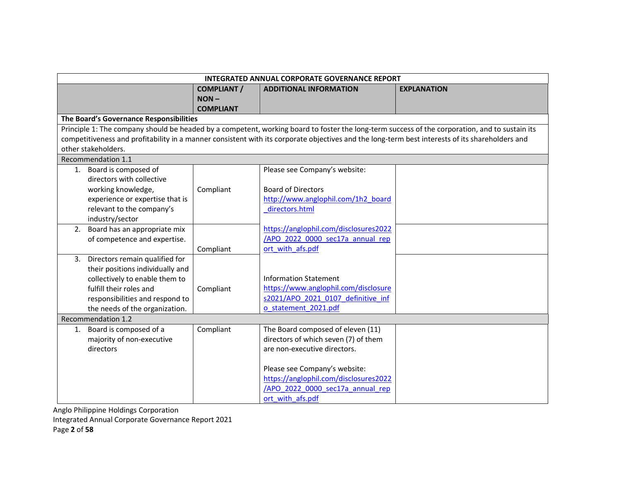|                                         | INTEGRATED ANNUAL CORPORATE GOVERNANCE REPORT |                                                                                                                                                 |                                                                                                                                                |  |  |
|-----------------------------------------|-----------------------------------------------|-------------------------------------------------------------------------------------------------------------------------------------------------|------------------------------------------------------------------------------------------------------------------------------------------------|--|--|
|                                         | <b>COMPLIANT /</b>                            | <b>ADDITIONAL INFORMATION</b>                                                                                                                   | <b>EXPLANATION</b>                                                                                                                             |  |  |
|                                         | $NON -$                                       |                                                                                                                                                 |                                                                                                                                                |  |  |
|                                         | <b>COMPLIANT</b>                              |                                                                                                                                                 |                                                                                                                                                |  |  |
| The Board's Governance Responsibilities |                                               |                                                                                                                                                 |                                                                                                                                                |  |  |
|                                         |                                               |                                                                                                                                                 | Principle 1: The company should be headed by a competent, working board to foster the long-term success of the corporation, and to sustain its |  |  |
|                                         |                                               | competitiveness and profitability in a manner consistent with its corporate objectives and the long-term best interests of its shareholders and |                                                                                                                                                |  |  |
| other stakeholders.                     |                                               |                                                                                                                                                 |                                                                                                                                                |  |  |
| Recommendation 1.1                      |                                               |                                                                                                                                                 |                                                                                                                                                |  |  |
| 1. Board is composed of                 |                                               | Please see Company's website:                                                                                                                   |                                                                                                                                                |  |  |
| directors with collective               |                                               |                                                                                                                                                 |                                                                                                                                                |  |  |
| working knowledge,                      | Compliant                                     | <b>Board of Directors</b>                                                                                                                       |                                                                                                                                                |  |  |
| experience or expertise that is         |                                               | http://www.anglophil.com/1h2 board                                                                                                              |                                                                                                                                                |  |  |
| relevant to the company's               |                                               | directors.html                                                                                                                                  |                                                                                                                                                |  |  |
| industry/sector                         |                                               |                                                                                                                                                 |                                                                                                                                                |  |  |
| 2. Board has an appropriate mix         |                                               | https://anglophil.com/disclosures2022                                                                                                           |                                                                                                                                                |  |  |
| of competence and expertise.            |                                               | /APO 2022 0000 sec17a annual rep                                                                                                                |                                                                                                                                                |  |  |
|                                         | Compliant                                     | ort with afs.pdf                                                                                                                                |                                                                                                                                                |  |  |
| 3. Directors remain qualified for       |                                               |                                                                                                                                                 |                                                                                                                                                |  |  |
| their positions individually and        |                                               |                                                                                                                                                 |                                                                                                                                                |  |  |
| collectively to enable them to          |                                               | <b>Information Statement</b>                                                                                                                    |                                                                                                                                                |  |  |
| fulfill their roles and                 | Compliant                                     | https://www.anglophil.com/disclosure                                                                                                            |                                                                                                                                                |  |  |
| responsibilities and respond to         |                                               | s2021/APO 2021 0107 definitive inf                                                                                                              |                                                                                                                                                |  |  |
| the needs of the organization.          |                                               | o statement 2021.pdf                                                                                                                            |                                                                                                                                                |  |  |
| <b>Recommendation 1.2</b>               |                                               |                                                                                                                                                 |                                                                                                                                                |  |  |
| 1. Board is composed of a               | Compliant                                     | The Board composed of eleven (11)                                                                                                               |                                                                                                                                                |  |  |
| majority of non-executive               |                                               | directors of which seven (7) of them                                                                                                            |                                                                                                                                                |  |  |
| directors                               |                                               | are non-executive directors.                                                                                                                    |                                                                                                                                                |  |  |
|                                         |                                               |                                                                                                                                                 |                                                                                                                                                |  |  |
|                                         |                                               | Please see Company's website:                                                                                                                   |                                                                                                                                                |  |  |
|                                         |                                               | https://anglophil.com/disclosures2022                                                                                                           |                                                                                                                                                |  |  |
|                                         |                                               | /APO 2022 0000 sec17a annual rep                                                                                                                |                                                                                                                                                |  |  |
|                                         |                                               | ort with afs.pdf                                                                                                                                |                                                                                                                                                |  |  |

Integrated Annual Corporate Governance Report 2021

Page 2 of 58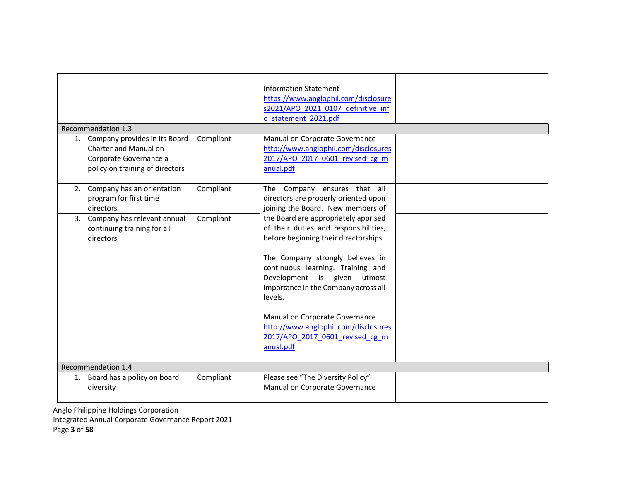| Recommendation 1.3<br>1. Company provides in its Board<br>Charter and Manual on<br>Corporate Governance a<br>policy on training of directors | Compliant | <b>Information Statement</b><br>https://www.anglophil.com/disclosure<br>s2021/APO 2021 0107 definitive inf<br>o statement 2021.pdf<br>Manual on Corporate Governance<br>http://www.anglophil.com/disclosures<br>2017/APO 2017 0601 revised cg m<br>anual.pdf                                                                                                                                                |  |  |  |  |
|----------------------------------------------------------------------------------------------------------------------------------------------|-----------|-------------------------------------------------------------------------------------------------------------------------------------------------------------------------------------------------------------------------------------------------------------------------------------------------------------------------------------------------------------------------------------------------------------|--|--|--|--|
| 2. Company has an orientation<br>program for first time<br>directors                                                                         | Compliant | The Company ensures that all<br>directors are properly oriented upon<br>joining the Board. New members of                                                                                                                                                                                                                                                                                                   |  |  |  |  |
| 3. Company has relevant annual<br>continuing training for all<br>directors                                                                   | Compliant | the Board are appropriately apprised<br>of their duties and responsibilities,<br>before beginning their directorships.<br>The Company strongly believes in<br>continuous learning. Training and<br>Development is given utmost<br>importance in the Company across all<br>levels.<br>Manual on Corporate Governance<br>http://www.anglophil.com/disclosures<br>2017/APO 2017 0601 revised cg m<br>anual.pdf |  |  |  |  |
| Recommendation 1.4                                                                                                                           |           |                                                                                                                                                                                                                                                                                                                                                                                                             |  |  |  |  |
| 1. Board has a policy on board<br>diversity                                                                                                  | Compliant | Please see "The Diversity Policy"<br>Manual on Corporate Governance                                                                                                                                                                                                                                                                                                                                         |  |  |  |  |

Anglo Philippine Holdings Corporation Integrated Annual Corporate Governance Report 2021

Page 3 of 58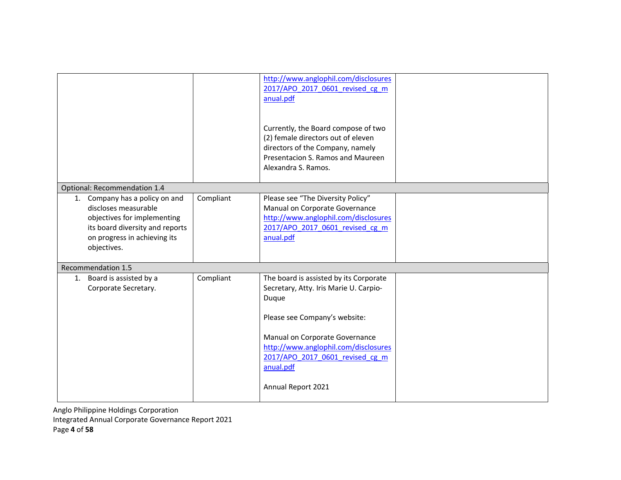|                                                                                                                                                                         |           | http://www.anglophil.com/disclosures<br>2017/APO 2017 0601 revised cg m<br>anual.pdf<br>Currently, the Board compose of two<br>(2) female directors out of eleven<br>directors of the Company, namely<br>Presentacion S. Ramos and Maureen<br>Alexandra S. Ramos.          |  |
|-------------------------------------------------------------------------------------------------------------------------------------------------------------------------|-----------|----------------------------------------------------------------------------------------------------------------------------------------------------------------------------------------------------------------------------------------------------------------------------|--|
| Optional: Recommendation 1.4                                                                                                                                            |           |                                                                                                                                                                                                                                                                            |  |
| 1. Company has a policy on and<br>discloses measurable<br>objectives for implementing<br>its board diversity and reports<br>on progress in achieving its<br>objectives. | Compliant | Please see "The Diversity Policy"<br>Manual on Corporate Governance<br>http://www.anglophil.com/disclosures<br>2017/APO 2017 0601 revised cg m<br>anual.pdf                                                                                                                |  |
| Recommendation 1.5                                                                                                                                                      |           |                                                                                                                                                                                                                                                                            |  |
| 1. Board is assisted by a<br>Corporate Secretary.                                                                                                                       | Compliant | The board is assisted by its Corporate<br>Secretary, Atty. Iris Marie U. Carpio-<br>Duque<br>Please see Company's website:<br>Manual on Corporate Governance<br>http://www.anglophil.com/disclosures<br>2017/APO 2017 0601 revised cg m<br>anual.pdf<br>Annual Report 2021 |  |

Anglo Philippine Holdings Corporation Integrated Annual Corporate Governance Report 2021

Page 4 of 58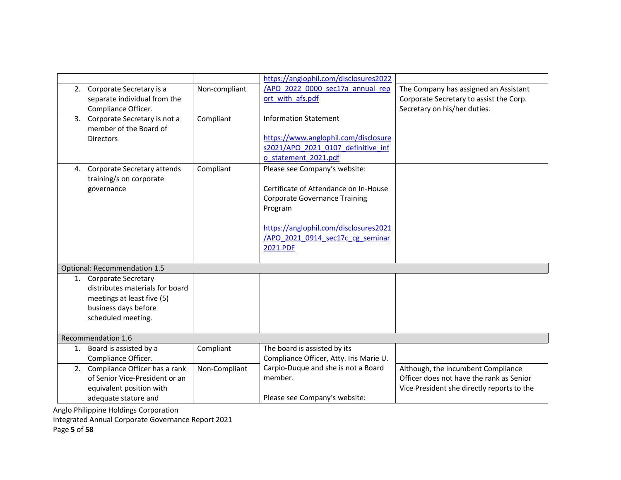|    |                                  |               | https://anglophil.com/disclosures2022                                         |                                                                                |
|----|----------------------------------|---------------|-------------------------------------------------------------------------------|--------------------------------------------------------------------------------|
|    | 2. Corporate Secretary is a      | Non-compliant | /APO 2022 0000 sec17a annual rep                                              | The Company has assigned an Assistant                                          |
|    | separate individual from the     |               | ort with afs.pdf                                                              | Corporate Secretary to assist the Corp.                                        |
|    | Compliance Officer.              |               |                                                                               | Secretary on his/her duties.                                                   |
|    | 3. Corporate Secretary is not a  | Compliant     | <b>Information Statement</b>                                                  |                                                                                |
|    | member of the Board of           |               |                                                                               |                                                                                |
|    | <b>Directors</b>                 |               | https://www.anglophil.com/disclosure                                          |                                                                                |
|    |                                  |               | s2021/APO 2021 0107 definitive inf                                            |                                                                                |
|    |                                  |               | o statement 2021.pdf                                                          |                                                                                |
| 4. | Corporate Secretary attends      | Compliant     | Please see Company's website:                                                 |                                                                                |
|    | training/s on corporate          |               |                                                                               |                                                                                |
|    | governance                       |               | Certificate of Attendance on In-House<br><b>Corporate Governance Training</b> |                                                                                |
|    |                                  |               | Program                                                                       |                                                                                |
|    |                                  |               |                                                                               |                                                                                |
|    |                                  |               | https://anglophil.com/disclosures2021                                         |                                                                                |
|    |                                  |               | /APO 2021 0914 sec17c cg seminar                                              |                                                                                |
|    |                                  |               | 2021.PDF                                                                      |                                                                                |
|    |                                  |               |                                                                               |                                                                                |
|    | Optional: Recommendation 1.5     |               |                                                                               |                                                                                |
|    | 1. Corporate Secretary           |               |                                                                               |                                                                                |
|    | distributes materials for board  |               |                                                                               |                                                                                |
|    | meetings at least five (5)       |               |                                                                               |                                                                                |
|    | business days before             |               |                                                                               |                                                                                |
|    | scheduled meeting.               |               |                                                                               |                                                                                |
|    |                                  |               |                                                                               |                                                                                |
|    | Recommendation 1.6               |               |                                                                               |                                                                                |
|    | 1. Board is assisted by a        | Compliant     | The board is assisted by its                                                  |                                                                                |
|    | Compliance Officer.              |               | Compliance Officer, Atty. Iris Marie U.                                       |                                                                                |
|    | 2. Compliance Officer has a rank | Non-Compliant | Carpio-Duque and she is not a Board                                           | Although, the incumbent Compliance<br>Officer does not have the rank as Senior |
|    | of Senior Vice-President or an   |               | member.                                                                       |                                                                                |
|    | equivalent position with         |               |                                                                               | Vice President she directly reports to the                                     |
|    | adequate stature and             |               | Please see Company's website:                                                 |                                                                                |

Integrated Annual Corporate Governance Report 2021

Page 5 of 58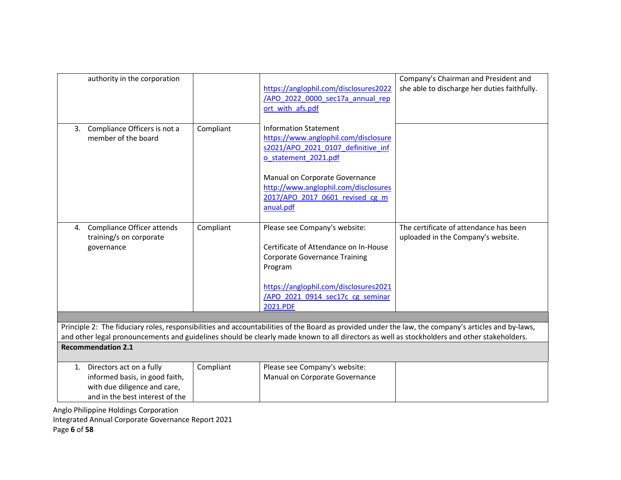| authority in the corporation                                                                                                     |           | https://anglophil.com/disclosures2022<br>/APO 2022 0000 sec17a annual rep<br>ort with afs.pdf                                                                                                                                                                                                      | Company's Chairman and President and<br>she able to discharge her duties faithfully. |
|----------------------------------------------------------------------------------------------------------------------------------|-----------|----------------------------------------------------------------------------------------------------------------------------------------------------------------------------------------------------------------------------------------------------------------------------------------------------|--------------------------------------------------------------------------------------|
| Compliance Officers is not a<br>3.<br>member of the board                                                                        | Compliant | <b>Information Statement</b><br>https://www.anglophil.com/disclosure<br>s2021/APO 2021 0107 definitive inf<br>o statement 2021.pdf                                                                                                                                                                 |                                                                                      |
|                                                                                                                                  |           | Manual on Corporate Governance<br>http://www.anglophil.com/disclosures<br>2017/APO 2017 0601 revised cg m<br>anual.pdf                                                                                                                                                                             |                                                                                      |
| Compliance Officer attends<br>4.<br>training/s on corporate<br>governance                                                        | Compliant | Please see Company's website:<br>Certificate of Attendance on In-House<br><b>Corporate Governance Training</b><br>Program                                                                                                                                                                          | The certificate of attendance has been<br>uploaded in the Company's website.         |
|                                                                                                                                  |           | https://anglophil.com/disclosures2021<br>/APO 2021 0914 sec17c cg seminar<br>2021.PDF                                                                                                                                                                                                              |                                                                                      |
|                                                                                                                                  |           |                                                                                                                                                                                                                                                                                                    |                                                                                      |
|                                                                                                                                  |           | Principle 2: The fiduciary roles, responsibilities and accountabilities of the Board as provided under the law, the company's articles and by-laws,<br>and other legal pronouncements and guidelines should be clearly made known to all directors as well as stockholders and other stakeholders. |                                                                                      |
| <b>Recommendation 2.1</b>                                                                                                        |           |                                                                                                                                                                                                                                                                                                    |                                                                                      |
| 1. Directors act on a fully<br>informed basis, in good faith,<br>with due diligence and care,<br>and in the best interest of the | Compliant | Please see Company's website:<br>Manual on Corporate Governance                                                                                                                                                                                                                                    |                                                                                      |
| Anglo Philippine Holdings Corporation                                                                                            |           |                                                                                                                                                                                                                                                                                                    |                                                                                      |

Integrated Annual Corporate Governance Report 2021

Page 6 of 58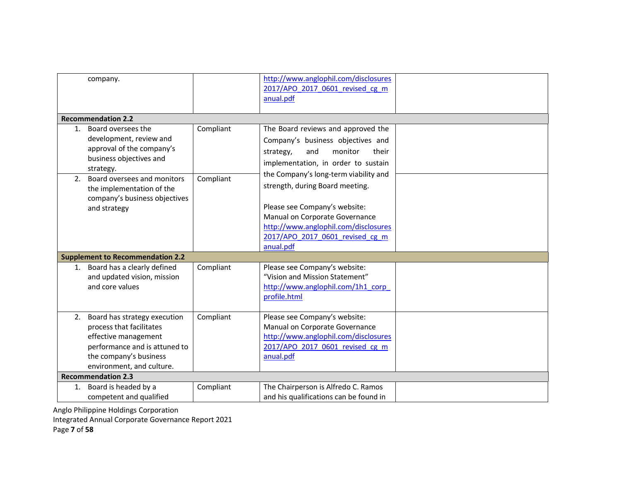|    | company.                                                                                                                                                                 |           | http://www.anglophil.com/disclosures<br>2017/APO 2017 0601 revised cg m<br>anual.pdf                                                                                                                                                |  |
|----|--------------------------------------------------------------------------------------------------------------------------------------------------------------------------|-----------|-------------------------------------------------------------------------------------------------------------------------------------------------------------------------------------------------------------------------------------|--|
|    | <b>Recommendation 2.2</b>                                                                                                                                                |           |                                                                                                                                                                                                                                     |  |
|    | 1. Board oversees the<br>development, review and<br>approval of the company's<br>business objectives and<br>strategy.                                                    | Compliant | The Board reviews and approved the<br>Company's business objectives and<br>monitor<br>strategy,<br>and<br>their<br>implementation, in order to sustain                                                                              |  |
| 2. | Board oversees and monitors<br>the implementation of the<br>company's business objectives<br>and strategy                                                                | Compliant | the Company's long-term viability and<br>strength, during Board meeting.<br>Please see Company's website:<br>Manual on Corporate Governance<br>http://www.anglophil.com/disclosures<br>2017/APO 2017 0601 revised cg m<br>anual.pdf |  |
|    | <b>Supplement to Recommendation 2.2</b>                                                                                                                                  |           |                                                                                                                                                                                                                                     |  |
| 1. | Board has a clearly defined<br>and updated vision, mission<br>and core values                                                                                            | Compliant | Please see Company's website:<br>"Vision and Mission Statement"<br>http://www.anglophil.com/1h1 corp<br>profile.html                                                                                                                |  |
| 2. | Board has strategy execution<br>process that facilitates<br>effective management<br>performance and is attuned to<br>the company's business<br>environment, and culture. | Compliant | Please see Company's website:<br>Manual on Corporate Governance<br>http://www.anglophil.com/disclosures<br>2017/APO 2017 0601 revised cg m<br>anual.pdf                                                                             |  |
|    | <b>Recommendation 2.3</b>                                                                                                                                                |           |                                                                                                                                                                                                                                     |  |
| 1. | Board is headed by a<br>competent and qualified                                                                                                                          | Compliant | The Chairperson is Alfredo C. Ramos<br>and his qualifications can be found in                                                                                                                                                       |  |

Integrated Annual Corporate Governance Report 2021

Page 7 of 58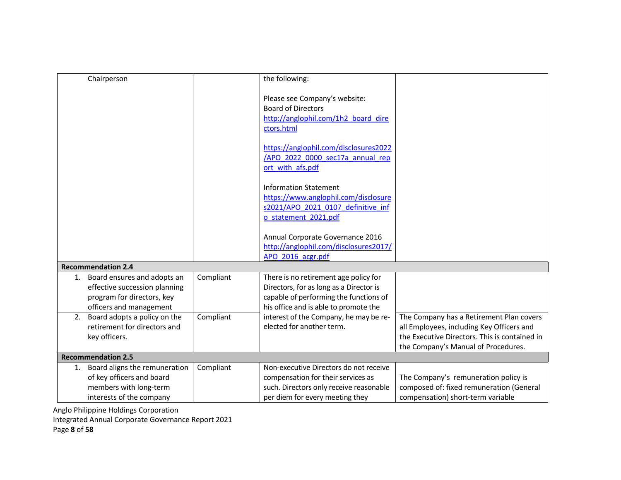|    | Chairperson                                                                                                           |           | the following:                                                                                                                                                      |                                                                                                                                                                               |
|----|-----------------------------------------------------------------------------------------------------------------------|-----------|---------------------------------------------------------------------------------------------------------------------------------------------------------------------|-------------------------------------------------------------------------------------------------------------------------------------------------------------------------------|
|    |                                                                                                                       |           | Please see Company's website:<br><b>Board of Directors</b><br>http://anglophil.com/1h2 board dire<br>ctors.html                                                     |                                                                                                                                                                               |
|    |                                                                                                                       |           | https://anglophil.com/disclosures2022<br>/APO 2022 0000 sec17a annual rep<br>ort with afs.pdf                                                                       |                                                                                                                                                                               |
|    |                                                                                                                       |           | <b>Information Statement</b><br>https://www.anglophil.com/disclosure<br>s2021/APO 2021 0107 definitive inf<br>o statement 2021.pdf                                  |                                                                                                                                                                               |
|    |                                                                                                                       |           | Annual Corporate Governance 2016<br>http://anglophil.com/disclosures2017/<br>APO 2016 acgr.pdf                                                                      |                                                                                                                                                                               |
|    | <b>Recommendation 2.4</b>                                                                                             |           |                                                                                                                                                                     |                                                                                                                                                                               |
| 1. | Board ensures and adopts an<br>effective succession planning<br>program for directors, key<br>officers and management | Compliant | There is no retirement age policy for<br>Directors, for as long as a Director is<br>capable of performing the functions of<br>his office and is able to promote the |                                                                                                                                                                               |
| 2. | Board adopts a policy on the<br>retirement for directors and<br>key officers.                                         | Compliant | interest of the Company, he may be re-<br>elected for another term.                                                                                                 | The Company has a Retirement Plan covers<br>all Employees, including Key Officers and<br>the Executive Directors. This is contained in<br>the Company's Manual of Procedures. |
|    | <b>Recommendation 2.5</b>                                                                                             |           |                                                                                                                                                                     |                                                                                                                                                                               |
| 1. | Board aligns the remuneration<br>of key officers and board<br>members with long-term<br>interests of the company      | Compliant | Non-executive Directors do not receive<br>compensation for their services as<br>such. Directors only receive reasonable<br>per diem for every meeting they          | The Company's remuneration policy is<br>composed of: fixed remuneration (General<br>compensation) short-term variable                                                         |

Integrated Annual Corporate Governance Report 2021

Page 8 of 58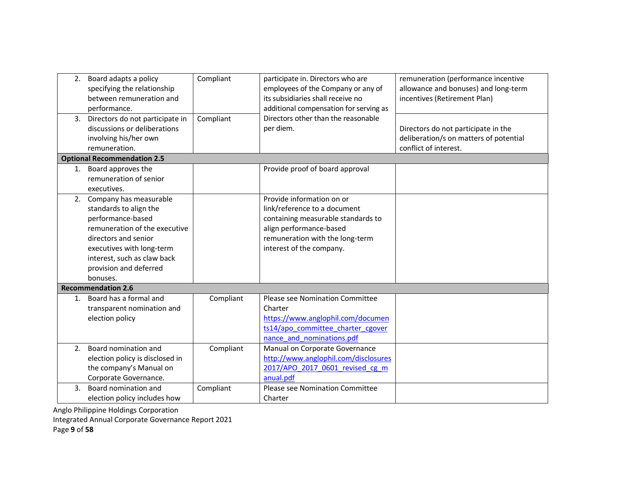|    | 2. Board adapts a policy<br>specifying the relationship<br>between remuneration and<br>performance.                                                                                                                                 | Compliant | participate in. Directors who are<br>employees of the Company or any of<br>its subsidiaries shall receive no<br>additional compensation for serving as                                    | remuneration (performance incentive<br>allowance and bonuses) and long-term<br>incentives (Retirement Plan) |
|----|-------------------------------------------------------------------------------------------------------------------------------------------------------------------------------------------------------------------------------------|-----------|-------------------------------------------------------------------------------------------------------------------------------------------------------------------------------------------|-------------------------------------------------------------------------------------------------------------|
|    | 3. Directors do not participate in<br>discussions or deliberations<br>involving his/her own<br>remuneration.                                                                                                                        | Compliant | Directors other than the reasonable<br>per diem.                                                                                                                                          | Directors do not participate in the<br>deliberation/s on matters of potential<br>conflict of interest.      |
|    | <b>Optional Recommendation 2.5</b>                                                                                                                                                                                                  |           |                                                                                                                                                                                           |                                                                                                             |
|    | 1. Board approves the<br>remuneration of senior<br>executives.                                                                                                                                                                      |           | Provide proof of board approval                                                                                                                                                           |                                                                                                             |
|    | 2. Company has measurable<br>standards to align the<br>performance-based<br>remuneration of the executive<br>directors and senior<br>executives with long-term<br>interest, such as claw back<br>provision and deferred<br>bonuses. |           | Provide information on or<br>link/reference to a document<br>containing measurable standards to<br>align performance-based<br>remuneration with the long-term<br>interest of the company. |                                                                                                             |
|    | <b>Recommendation 2.6</b>                                                                                                                                                                                                           |           |                                                                                                                                                                                           |                                                                                                             |
|    | 1. Board has a formal and<br>transparent nomination and<br>election policy                                                                                                                                                          | Compliant | <b>Please see Nomination Committee</b><br>Charter<br>https://www.anglophil.com/documen<br>ts14/apo committee charter cgover<br>nance and nominations.pdf                                  |                                                                                                             |
| 2. | Board nomination and<br>election policy is disclosed in<br>the company's Manual on<br>Corporate Governance.                                                                                                                         | Compliant | Manual on Corporate Governance<br>http://www.anglophil.com/disclosures<br>2017/APO 2017 0601 revised cg m<br>anual.pdf                                                                    |                                                                                                             |
| 3. | Board nomination and<br>election policy includes how                                                                                                                                                                                | Compliant | Please see Nomination Committee<br>Charter                                                                                                                                                |                                                                                                             |

Integrated Annual Corporate Governance Report 2021

Page 9 of 58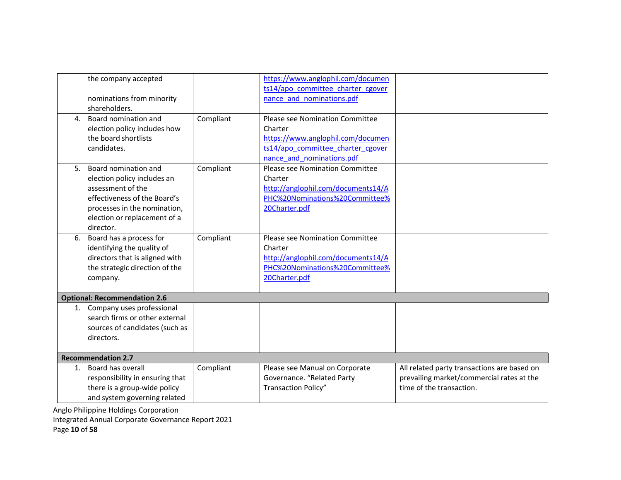|    | the company accepted                |           | https://www.anglophil.com/documen  |                                             |
|----|-------------------------------------|-----------|------------------------------------|---------------------------------------------|
|    |                                     |           | ts14/apo committee charter cgover  |                                             |
|    | nominations from minority           |           | nance and nominations.pdf          |                                             |
|    | shareholders.                       |           |                                    |                                             |
| 4. | Board nomination and                | Compliant | Please see Nomination Committee    |                                             |
|    | election policy includes how        |           | Charter                            |                                             |
|    | the board shortlists                |           | https://www.anglophil.com/documen  |                                             |
|    | candidates.                         |           | ts14/apo committee charter cgover  |                                             |
|    |                                     |           | nance and nominations.pdf          |                                             |
| 5. | Board nomination and                | Compliant | Please see Nomination Committee    |                                             |
|    | election policy includes an         |           | Charter                            |                                             |
|    | assessment of the                   |           | http://anglophil.com/documents14/A |                                             |
|    | effectiveness of the Board's        |           | PHC%20Nominations%20Committee%     |                                             |
|    | processes in the nomination,        |           | 20Charter.pdf                      |                                             |
|    | election or replacement of a        |           |                                    |                                             |
|    | director.                           |           |                                    |                                             |
| 6. | Board has a process for             | Compliant | Please see Nomination Committee    |                                             |
|    | identifying the quality of          |           | Charter                            |                                             |
|    | directors that is aligned with      |           | http://anglophil.com/documents14/A |                                             |
|    | the strategic direction of the      |           | PHC%20Nominations%20Committee%     |                                             |
|    | company.                            |           | 20Charter.pdf                      |                                             |
|    |                                     |           |                                    |                                             |
|    | <b>Optional: Recommendation 2.6</b> |           |                                    |                                             |
|    | 1. Company uses professional        |           |                                    |                                             |
|    | search firms or other external      |           |                                    |                                             |
|    | sources of candidates (such as      |           |                                    |                                             |
|    | directors.                          |           |                                    |                                             |
|    |                                     |           |                                    |                                             |
|    | <b>Recommendation 2.7</b>           |           |                                    |                                             |
| 1. | Board has overall                   | Compliant | Please see Manual on Corporate     | All related party transactions are based on |
|    | responsibility in ensuring that     |           | Governance. "Related Party         | prevailing market/commercial rates at the   |
|    | there is a group-wide policy        |           | <b>Transaction Policy"</b>         | time of the transaction.                    |
|    | and system governing related        |           |                                    |                                             |

Integrated Annual Corporate Governance Report 2021

Page 10 of 58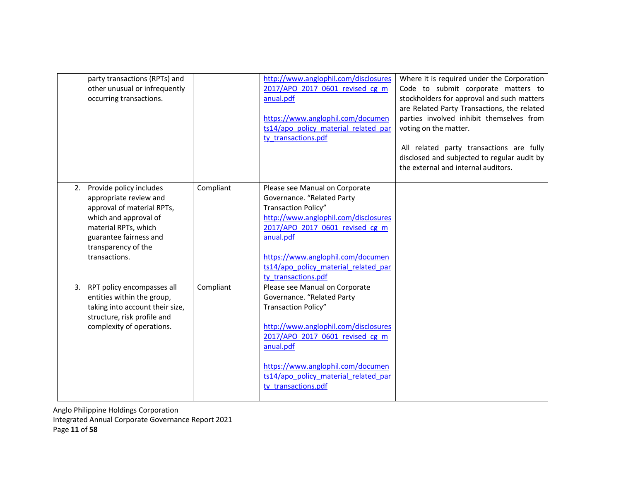|    | party transactions (RPTs) and<br>other unusual or infrequently<br>occurring transactions.                                                                                                          |           | http://www.anglophil.com/disclosures<br>2017/APO 2017 0601 revised cg m<br>anual.pdf<br>https://www.anglophil.com/documen<br>ts14/apo policy material related par<br>ty transactions.pdf                                                                                        | Where it is required under the Corporation<br>Code to submit corporate matters to<br>stockholders for approval and such matters<br>are Related Party Transactions, the related<br>parties involved inhibit themselves from<br>voting on the matter.<br>All related party transactions are fully<br>disclosed and subjected to regular audit by<br>the external and internal auditors. |
|----|----------------------------------------------------------------------------------------------------------------------------------------------------------------------------------------------------|-----------|---------------------------------------------------------------------------------------------------------------------------------------------------------------------------------------------------------------------------------------------------------------------------------|---------------------------------------------------------------------------------------------------------------------------------------------------------------------------------------------------------------------------------------------------------------------------------------------------------------------------------------------------------------------------------------|
| 2. | Provide policy includes<br>appropriate review and<br>approval of material RPTs,<br>which and approval of<br>material RPTs, which<br>guarantee fairness and<br>transparency of the<br>transactions. | Compliant | Please see Manual on Corporate<br>Governance. "Related Party<br>Transaction Policy"<br>http://www.anglophil.com/disclosures<br>2017/APO 2017 0601 revised cg m<br>anual.pdf<br>https://www.anglophil.com/documen<br>ts14/apo policy material related par<br>ty transactions.pdf |                                                                                                                                                                                                                                                                                                                                                                                       |
|    | 3. RPT policy encompasses all<br>entities within the group,<br>taking into account their size,<br>structure, risk profile and<br>complexity of operations.                                         | Compliant | Please see Manual on Corporate<br>Governance. "Related Party<br>Transaction Policy"<br>http://www.anglophil.com/disclosures<br>2017/APO 2017 0601 revised cg m<br>anual.pdf<br>https://www.anglophil.com/documen<br>ts14/apo policy material related par<br>ty transactions.pdf |                                                                                                                                                                                                                                                                                                                                                                                       |

Anglo Philippine Holdings Corporation Integrated Annual Corporate Governance Report 2021

Page 11 of 58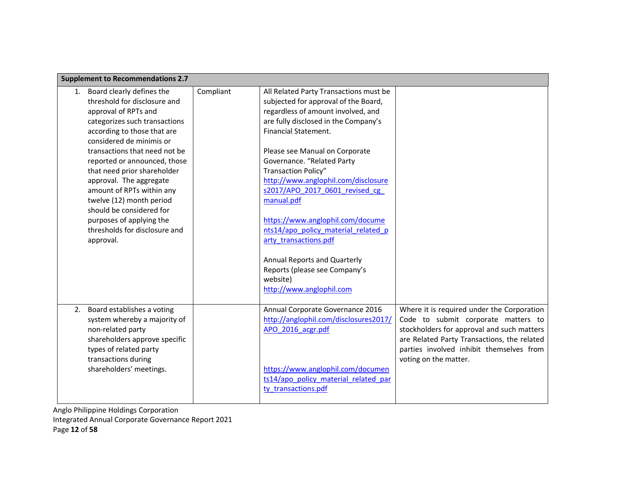|    | <b>Supplement to Recommendations 2.7</b>                                                                                                                                                                                                                                                                                                                                                                                                                                |           |                                                                                                                                                                                                                                                                                                                                                                                                                                                                                                                                                                                        |                                                                                                                                                                                                                                                     |
|----|-------------------------------------------------------------------------------------------------------------------------------------------------------------------------------------------------------------------------------------------------------------------------------------------------------------------------------------------------------------------------------------------------------------------------------------------------------------------------|-----------|----------------------------------------------------------------------------------------------------------------------------------------------------------------------------------------------------------------------------------------------------------------------------------------------------------------------------------------------------------------------------------------------------------------------------------------------------------------------------------------------------------------------------------------------------------------------------------------|-----------------------------------------------------------------------------------------------------------------------------------------------------------------------------------------------------------------------------------------------------|
| 1. | Board clearly defines the<br>threshold for disclosure and<br>approval of RPTs and<br>categorizes such transactions<br>according to those that are<br>considered de minimis or<br>transactions that need not be<br>reported or announced, those<br>that need prior shareholder<br>approval. The aggregate<br>amount of RPTs within any<br>twelve (12) month period<br>should be considered for<br>purposes of applying the<br>thresholds for disclosure and<br>approval. | Compliant | All Related Party Transactions must be<br>subjected for approval of the Board,<br>regardless of amount involved, and<br>are fully disclosed in the Company's<br>Financial Statement.<br>Please see Manual on Corporate<br>Governance. "Related Party<br>Transaction Policy"<br>http://www.anglophil.com/disclosure<br>s2017/APO 2017 0601 revised cg<br>manual.pdf<br>https://www.anglophil.com/docume<br>nts14/apo policy material related p<br>arty transactions.pdf<br><b>Annual Reports and Quarterly</b><br>Reports (please see Company's<br>website)<br>http://www.anglophil.com |                                                                                                                                                                                                                                                     |
|    | 2. Board establishes a voting<br>system whereby a majority of<br>non-related party<br>shareholders approve specific<br>types of related party<br>transactions during<br>shareholders' meetings.                                                                                                                                                                                                                                                                         |           | Annual Corporate Governance 2016<br>http://anglophil.com/disclosures2017/<br>APO 2016 acgr.pdf<br>https://www.anglophil.com/documen<br>ts14/apo policy material related par<br>ty transactions.pdf                                                                                                                                                                                                                                                                                                                                                                                     | Where it is required under the Corporation<br>Code to submit corporate matters to<br>stockholders for approval and such matters<br>are Related Party Transactions, the related<br>parties involved inhibit themselves from<br>voting on the matter. |

Anglo Philippine Holdings Corporation Integrated Annual Corporate Governance Report 2021

Page 12 of 58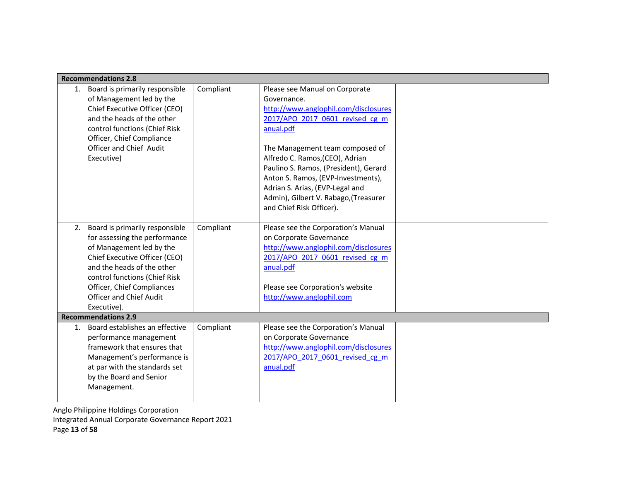|    | <b>Recommendations 2.8</b>                                                                                                                                                                                                                                                 |           |                                                                                                                                                                                                                                                                                                                                                                                                    |  |
|----|----------------------------------------------------------------------------------------------------------------------------------------------------------------------------------------------------------------------------------------------------------------------------|-----------|----------------------------------------------------------------------------------------------------------------------------------------------------------------------------------------------------------------------------------------------------------------------------------------------------------------------------------------------------------------------------------------------------|--|
| 1. | Board is primarily responsible<br>of Management led by the<br>Chief Executive Officer (CEO)<br>and the heads of the other<br>control functions (Chief Risk<br>Officer, Chief Compliance<br>Officer and Chief Audit<br>Executive)                                           | Compliant | Please see Manual on Corporate<br>Governance.<br>http://www.anglophil.com/disclosures<br>2017/APO 2017 0601 revised cg m<br>anual.pdf<br>The Management team composed of<br>Alfredo C. Ramos, (CEO), Adrian<br>Paulino S. Ramos, (President), Gerard<br>Anton S. Ramos, (EVP-Investments),<br>Adrian S. Arias, (EVP-Legal and<br>Admin), Gilbert V. Rabago, (Treasurer<br>and Chief Risk Officer). |  |
| 2. | Board is primarily responsible<br>for assessing the performance<br>of Management led by the<br>Chief Executive Officer (CEO)<br>and the heads of the other<br>control functions (Chief Risk<br>Officer, Chief Compliances<br><b>Officer and Chief Audit</b><br>Executive). | Compliant | Please see the Corporation's Manual<br>on Corporate Governance<br>http://www.anglophil.com/disclosures<br>2017/APO 2017 0601 revised cg m<br>anual.pdf<br>Please see Corporation's website<br>http://www.anglophil.com                                                                                                                                                                             |  |
|    | <b>Recommendations 2.9</b>                                                                                                                                                                                                                                                 |           |                                                                                                                                                                                                                                                                                                                                                                                                    |  |
| 1. | Board establishes an effective<br>performance management<br>framework that ensures that<br>Management's performance is<br>at par with the standards set<br>by the Board and Senior<br>Management.                                                                          | Compliant | Please see the Corporation's Manual<br>on Corporate Governance<br>http://www.anglophil.com/disclosures<br>2017/APO 2017 0601 revised cg m<br>anual.pdf                                                                                                                                                                                                                                             |  |

Anglo Philippine Holdings Corporation Integrated Annual Corporate Governance Report 2021 Page 13 of 58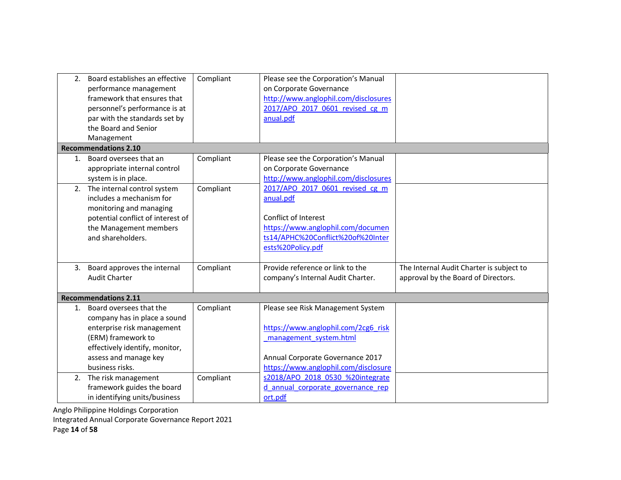|    | 2. Board establishes an effective<br>performance management<br>framework that ensures that<br>personnel's performance is at<br>par with the standards set by<br>the Board and Senior | Compliant | Please see the Corporation's Manual<br>on Corporate Governance<br>http://www.anglophil.com/disclosures<br>2017/APO 2017 0601 revised cg m<br>anual.pdf |                                                                                 |
|----|--------------------------------------------------------------------------------------------------------------------------------------------------------------------------------------|-----------|--------------------------------------------------------------------------------------------------------------------------------------------------------|---------------------------------------------------------------------------------|
|    | Management                                                                                                                                                                           |           |                                                                                                                                                        |                                                                                 |
|    | <b>Recommendations 2.10</b>                                                                                                                                                          |           |                                                                                                                                                        |                                                                                 |
| 1. | Board oversees that an<br>appropriate internal control<br>system is in place.                                                                                                        | Compliant | Please see the Corporation's Manual<br>on Corporate Governance<br>http://www.anglophil.com/disclosures                                                 |                                                                                 |
| 2. | The internal control system<br>includes a mechanism for<br>monitoring and managing                                                                                                   | Compliant | 2017/APO 2017 0601 revised cg m<br>anual.pdf                                                                                                           |                                                                                 |
|    | potential conflict of interest of                                                                                                                                                    |           | Conflict of Interest                                                                                                                                   |                                                                                 |
|    | the Management members                                                                                                                                                               |           | https://www.anglophil.com/documen                                                                                                                      |                                                                                 |
|    | and shareholders.                                                                                                                                                                    |           | ts14/APHC%20Conflict%20of%20Inter                                                                                                                      |                                                                                 |
|    |                                                                                                                                                                                      |           | ests%20Policy.pdf                                                                                                                                      |                                                                                 |
|    | 3. Board approves the internal<br><b>Audit Charter</b>                                                                                                                               | Compliant | Provide reference or link to the<br>company's Internal Audit Charter.                                                                                  | The Internal Audit Charter is subject to<br>approval by the Board of Directors. |
|    | <b>Recommendations 2.11</b>                                                                                                                                                          |           |                                                                                                                                                        |                                                                                 |
|    | 1. Board oversees that the<br>company has in place a sound<br>enterprise risk management                                                                                             | Compliant | Please see Risk Management System<br>https://www.anglophil.com/2cg6 risk                                                                               |                                                                                 |
|    | (ERM) framework to                                                                                                                                                                   |           | management system.html                                                                                                                                 |                                                                                 |
|    | effectively identify, monitor,                                                                                                                                                       |           |                                                                                                                                                        |                                                                                 |
|    | assess and manage key                                                                                                                                                                |           | Annual Corporate Governance 2017                                                                                                                       |                                                                                 |
|    | business risks.                                                                                                                                                                      |           | https://www.anglophil.com/disclosure                                                                                                                   |                                                                                 |
| 2. | The risk management                                                                                                                                                                  | Compliant | s2018/APO 2018 0530 %20integrate                                                                                                                       |                                                                                 |
|    | framework guides the board                                                                                                                                                           |           | d annual corporate governance rep                                                                                                                      |                                                                                 |
|    | in identifying units/business                                                                                                                                                        |           | ort.pdf                                                                                                                                                |                                                                                 |

Integrated Annual Corporate Governance Report 2021

Page 14 of 58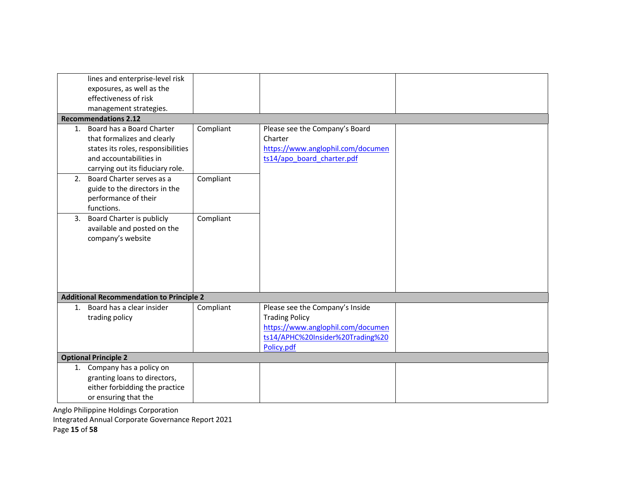|    | lines and enterprise-level risk                                                                                           |           |                                                                                                                                                 |  |
|----|---------------------------------------------------------------------------------------------------------------------------|-----------|-------------------------------------------------------------------------------------------------------------------------------------------------|--|
|    | exposures, as well as the                                                                                                 |           |                                                                                                                                                 |  |
|    | effectiveness of risk                                                                                                     |           |                                                                                                                                                 |  |
|    |                                                                                                                           |           |                                                                                                                                                 |  |
|    | management strategies.                                                                                                    |           |                                                                                                                                                 |  |
|    | <b>Recommendations 2.12</b>                                                                                               |           |                                                                                                                                                 |  |
| 1. | Board has a Board Charter<br>that formalizes and clearly<br>states its roles, responsibilities<br>and accountabilities in | Compliant | Please see the Company's Board<br>Charter<br>https://www.anglophil.com/documen<br>ts14/apo board charter.pdf                                    |  |
|    | carrying out its fiduciary role.                                                                                          |           |                                                                                                                                                 |  |
|    | 2. Board Charter serves as a<br>guide to the directors in the<br>performance of their<br>functions.                       | Compliant |                                                                                                                                                 |  |
| 3. | Board Charter is publicly<br>available and posted on the<br>company's website                                             | Compliant |                                                                                                                                                 |  |
|    | <b>Additional Recommendation to Principle 2</b>                                                                           |           |                                                                                                                                                 |  |
| 1. | Board has a clear insider<br>trading policy                                                                               | Compliant | Please see the Company's Inside<br><b>Trading Policy</b><br>https://www.anglophil.com/documen<br>ts14/APHC%20Insider%20Trading%20<br>Policy.pdf |  |
|    | <b>Optional Principle 2</b>                                                                                               |           |                                                                                                                                                 |  |
|    | 1. Company has a policy on<br>granting loans to directors,<br>either forbidding the practice<br>or ensuring that the      |           |                                                                                                                                                 |  |

Integrated Annual Corporate Governance Report 2021

Page 15 of 58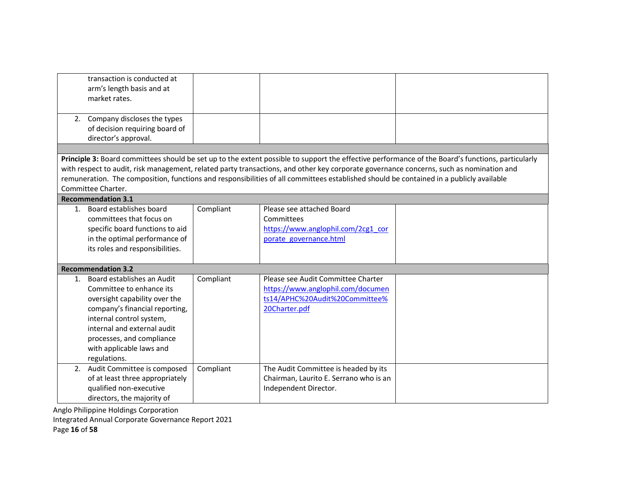| transaction is conducted at<br>arm's length basis and at<br>market rates.                                                                                                                                                                                        |           |                                                                                                                                                                                                                                                                                    |                                                                                                                                                   |
|------------------------------------------------------------------------------------------------------------------------------------------------------------------------------------------------------------------------------------------------------------------|-----------|------------------------------------------------------------------------------------------------------------------------------------------------------------------------------------------------------------------------------------------------------------------------------------|---------------------------------------------------------------------------------------------------------------------------------------------------|
| 2. Company discloses the types<br>of decision requiring board of<br>director's approval.                                                                                                                                                                         |           |                                                                                                                                                                                                                                                                                    |                                                                                                                                                   |
|                                                                                                                                                                                                                                                                  |           |                                                                                                                                                                                                                                                                                    |                                                                                                                                                   |
| Committee Charter.                                                                                                                                                                                                                                               |           | with respect to audit, risk management, related party transactions, and other key corporate governance concerns, such as nomination and<br>remuneration. The composition, functions and responsibilities of all committees established should be contained in a publicly available | Principle 3: Board committees should be set up to the extent possible to support the effective performance of the Board's functions, particularly |
| <b>Recommendation 3.1</b>                                                                                                                                                                                                                                        |           |                                                                                                                                                                                                                                                                                    |                                                                                                                                                   |
| 1. Board establishes board<br>committees that focus on<br>specific board functions to aid<br>in the optimal performance of<br>its roles and responsibilities.                                                                                                    | Compliant | Please see attached Board<br>Committees<br>https://www.anglophil.com/2cg1_cor<br>porate governance.html                                                                                                                                                                            |                                                                                                                                                   |
| <b>Recommendation 3.2</b>                                                                                                                                                                                                                                        |           |                                                                                                                                                                                                                                                                                    |                                                                                                                                                   |
| 1. Board establishes an Audit<br>Committee to enhance its<br>oversight capability over the<br>company's financial reporting,<br>internal control system,<br>internal and external audit<br>processes, and compliance<br>with applicable laws and<br>regulations. | Compliant | Please see Audit Committee Charter<br>https://www.anglophil.com/documen<br>ts14/APHC%20Audit%20Committee%<br>20Charter.pdf                                                                                                                                                         |                                                                                                                                                   |
| 2. Audit Committee is composed<br>of at least three appropriately<br>qualified non-executive<br>directors, the majority of                                                                                                                                       | Compliant | The Audit Committee is headed by its<br>Chairman, Laurito E. Serrano who is an<br>Independent Director.                                                                                                                                                                            |                                                                                                                                                   |

Integrated Annual Corporate Governance Report 2021

Page 16 of 58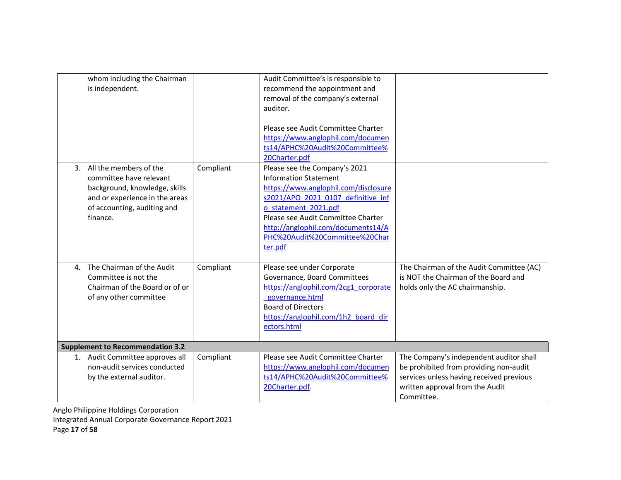| whom including the Chairman<br>is independent.                                                                                                                     |           | Audit Committee's is responsible to<br>recommend the appointment and<br>removal of the company's external<br>auditor.<br>Please see Audit Committee Charter<br>https://www.anglophil.com/documen<br>ts14/APHC%20Audit%20Committee%                                                                            |                                                                                                                                                                                |
|--------------------------------------------------------------------------------------------------------------------------------------------------------------------|-----------|---------------------------------------------------------------------------------------------------------------------------------------------------------------------------------------------------------------------------------------------------------------------------------------------------------------|--------------------------------------------------------------------------------------------------------------------------------------------------------------------------------|
| 3. All the members of the<br>committee have relevant<br>background, knowledge, skills<br>and or experience in the areas<br>of accounting, auditing and<br>finance. | Compliant | 20Charter.pdf<br>Please see the Company's 2021<br><b>Information Statement</b><br>https://www.anglophil.com/disclosure<br>s2021/APO 2021 0107 definitive inf<br>o statement 2021.pdf<br>Please see Audit Committee Charter<br>http://anglophil.com/documents14/A<br>PHC%20Audit%20Committee%20Char<br>ter.pdf |                                                                                                                                                                                |
| The Chairman of the Audit<br>4.<br>Committee is not the<br>Chairman of the Board or of or<br>of any other committee                                                | Compliant | Please see under Corporate<br>Governance, Board Committees<br>https://anglophil.com/2cg1 corporate<br>governance.html<br><b>Board of Directors</b><br>https://anglophil.com/1h2 board dir<br>ectors.html                                                                                                      | The Chairman of the Audit Committee (AC)<br>is NOT the Chairman of the Board and<br>holds only the AC chairmanship.                                                            |
| <b>Supplement to Recommendation 3.2</b>                                                                                                                            |           |                                                                                                                                                                                                                                                                                                               |                                                                                                                                                                                |
| 1. Audit Committee approves all<br>non-audit services conducted<br>by the external auditor.                                                                        | Compliant | Please see Audit Committee Charter<br>https://www.anglophil.com/documen<br>ts14/APHC%20Audit%20Committee%<br>20Charter.pdf.                                                                                                                                                                                   | The Company's independent auditor shall<br>be prohibited from providing non-audit<br>services unless having received previous<br>written approval from the Audit<br>Committee. |

Anglo Philippine Holdings Corporation Integrated Annual Corporate Governance Report 2021 Page 17 of 58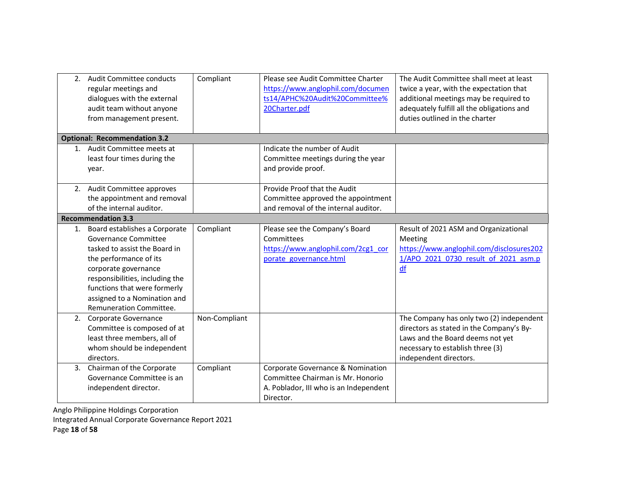|    | 2. Audit Committee conducts<br>regular meetings and<br>dialogues with the external<br>audit team without anyone<br>from management present.                                                                                                                               | Compliant     | Please see Audit Committee Charter<br>https://www.anglophil.com/documen<br>ts14/APHC%20Audit%20Committee%<br>20Charter.pdf    | The Audit Committee shall meet at least<br>twice a year, with the expectation that<br>additional meetings may be required to<br>adequately fulfill all the obligations and<br>duties outlined in the charter |
|----|---------------------------------------------------------------------------------------------------------------------------------------------------------------------------------------------------------------------------------------------------------------------------|---------------|-------------------------------------------------------------------------------------------------------------------------------|--------------------------------------------------------------------------------------------------------------------------------------------------------------------------------------------------------------|
|    | <b>Optional: Recommendation 3.2</b>                                                                                                                                                                                                                                       |               |                                                                                                                               |                                                                                                                                                                                                              |
|    | 1. Audit Committee meets at<br>least four times during the<br>year.                                                                                                                                                                                                       |               | Indicate the number of Audit<br>Committee meetings during the year<br>and provide proof.                                      |                                                                                                                                                                                                              |
|    | 2. Audit Committee approves<br>the appointment and removal<br>of the internal auditor.                                                                                                                                                                                    |               | Provide Proof that the Audit<br>Committee approved the appointment<br>and removal of the internal auditor.                    |                                                                                                                                                                                                              |
|    | <b>Recommendation 3.3</b>                                                                                                                                                                                                                                                 |               |                                                                                                                               |                                                                                                                                                                                                              |
|    | 1. Board establishes a Corporate<br>Governance Committee<br>tasked to assist the Board in<br>the performance of its<br>corporate governance<br>responsibilities, including the<br>functions that were formerly<br>assigned to a Nomination and<br>Remuneration Committee. | Compliant     | Please see the Company's Board<br>Committees<br>https://www.anglophil.com/2cg1_cor<br>porate governance.html                  | Result of 2021 ASM and Organizational<br>Meeting<br>https://www.anglophil.com/disclosures202<br>1/APO 2021 0730 result of 2021 asm.p<br>df                                                                   |
|    | 2. Corporate Governance<br>Committee is composed of at<br>least three members, all of<br>whom should be independent<br>directors.                                                                                                                                         | Non-Compliant |                                                                                                                               | The Company has only two (2) independent<br>directors as stated in the Company's By-<br>Laws and the Board deems not yet<br>necessary to establish three (3)<br>independent directors.                       |
| 3. | Chairman of the Corporate<br>Governance Committee is an<br>independent director.                                                                                                                                                                                          | Compliant     | Corporate Governance & Nomination<br>Committee Chairman is Mr. Honorio<br>A. Poblador, III who is an Independent<br>Director. |                                                                                                                                                                                                              |

Anglo Philippine Holdings Corporation Integrated Annual Corporate Governance Report 2021

Page 18 of 58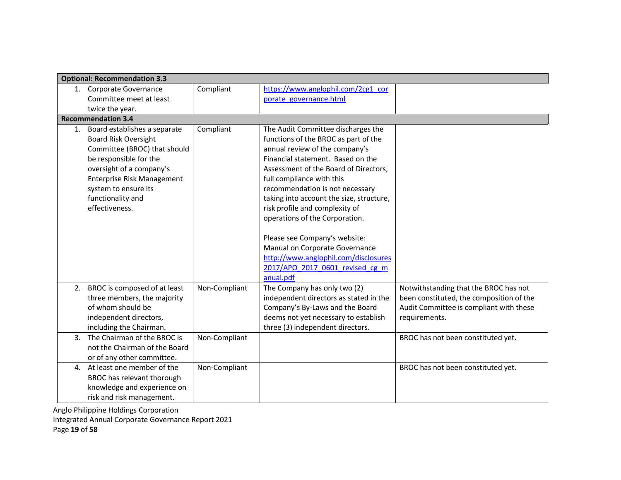|                | <b>Optional: Recommendation 3.3</b>                                                                                                                                                                                                                      |               |                                                                                                                                                                                                                                                                                                                                                                                                             |                                                                                                                                               |
|----------------|----------------------------------------------------------------------------------------------------------------------------------------------------------------------------------------------------------------------------------------------------------|---------------|-------------------------------------------------------------------------------------------------------------------------------------------------------------------------------------------------------------------------------------------------------------------------------------------------------------------------------------------------------------------------------------------------------------|-----------------------------------------------------------------------------------------------------------------------------------------------|
|                | 1. Corporate Governance                                                                                                                                                                                                                                  | Compliant     | https://www.anglophil.com/2cg1_cor                                                                                                                                                                                                                                                                                                                                                                          |                                                                                                                                               |
|                | Committee meet at least                                                                                                                                                                                                                                  |               | porate governance.html                                                                                                                                                                                                                                                                                                                                                                                      |                                                                                                                                               |
|                | twice the year.                                                                                                                                                                                                                                          |               |                                                                                                                                                                                                                                                                                                                                                                                                             |                                                                                                                                               |
|                | <b>Recommendation 3.4</b>                                                                                                                                                                                                                                |               |                                                                                                                                                                                                                                                                                                                                                                                                             |                                                                                                                                               |
|                | 1. Board establishes a separate<br><b>Board Risk Oversight</b><br>Committee (BROC) that should<br>be responsible for the<br>oversight of a company's<br><b>Enterprise Risk Management</b><br>system to ensure its<br>functionality and<br>effectiveness. | Compliant     | The Audit Committee discharges the<br>functions of the BROC as part of the<br>annual review of the company's<br>Financial statement. Based on the<br>Assessment of the Board of Directors,<br>full compliance with this<br>recommendation is not necessary<br>taking into account the size, structure,<br>risk profile and complexity of<br>operations of the Corporation.<br>Please see Company's website: |                                                                                                                                               |
|                |                                                                                                                                                                                                                                                          |               | Manual on Corporate Governance<br>http://www.anglophil.com/disclosures<br>2017/APO 2017 0601 revised cg m<br>anual.pdf                                                                                                                                                                                                                                                                                      |                                                                                                                                               |
|                | 2. BROC is composed of at least<br>three members, the majority<br>of whom should be<br>independent directors,<br>including the Chairman.                                                                                                                 | Non-Compliant | The Company has only two (2)<br>independent directors as stated in the<br>Company's By-Laws and the Board<br>deems not yet necessary to establish<br>three (3) independent directors.                                                                                                                                                                                                                       | Notwithstanding that the BROC has not<br>been constituted, the composition of the<br>Audit Committee is compliant with these<br>requirements. |
| 3 <sub>1</sub> | The Chairman of the BROC is<br>not the Chairman of the Board<br>or of any other committee.                                                                                                                                                               | Non-Compliant |                                                                                                                                                                                                                                                                                                                                                                                                             | BROC has not been constituted yet.                                                                                                            |
|                | 4. At least one member of the<br>BROC has relevant thorough<br>knowledge and experience on<br>risk and risk management.                                                                                                                                  | Non-Compliant |                                                                                                                                                                                                                                                                                                                                                                                                             | BROC has not been constituted yet.                                                                                                            |

Integrated Annual Corporate Governance Report 2021

Page 19 of 58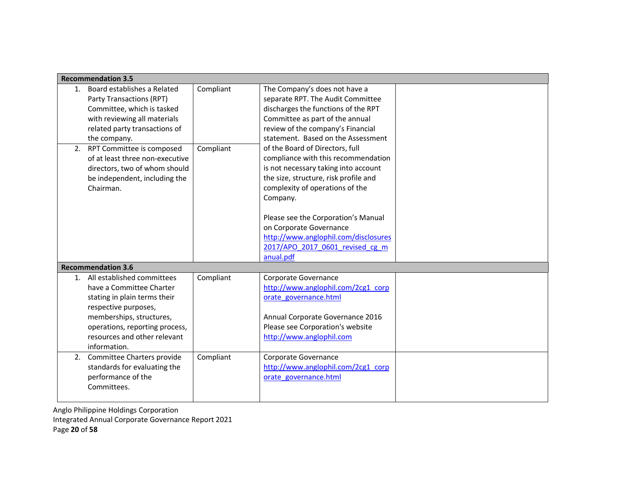|    | <b>Recommendation 3.5</b>                                                                                                                                                                                                       |           |                                                                                                                                                                                                                                                                                                                                                     |  |
|----|---------------------------------------------------------------------------------------------------------------------------------------------------------------------------------------------------------------------------------|-----------|-----------------------------------------------------------------------------------------------------------------------------------------------------------------------------------------------------------------------------------------------------------------------------------------------------------------------------------------------------|--|
|    | 1. Board establishes a Related<br>Party Transactions (RPT)<br>Committee, which is tasked<br>with reviewing all materials<br>related party transactions of<br>the company.                                                       | Compliant | The Company's does not have a<br>separate RPT. The Audit Committee<br>discharges the functions of the RPT<br>Committee as part of the annual<br>review of the company's Financial<br>statement. Based on the Assessment                                                                                                                             |  |
| 2. | RPT Committee is composed<br>of at least three non-executive<br>directors, two of whom should<br>be independent, including the<br>Chairman.                                                                                     | Compliant | of the Board of Directors, full<br>compliance with this recommendation<br>is not necessary taking into account<br>the size, structure, risk profile and<br>complexity of operations of the<br>Company.<br>Please see the Corporation's Manual<br>on Corporate Governance<br>http://www.anglophil.com/disclosures<br>2017/APO 2017 0601 revised cg m |  |
|    | <b>Recommendation 3.6</b>                                                                                                                                                                                                       |           |                                                                                                                                                                                                                                                                                                                                                     |  |
|    | 1. All established committees<br>have a Committee Charter<br>stating in plain terms their<br>respective purposes,<br>memberships, structures,<br>operations, reporting process,<br>resources and other relevant<br>information. | Compliant | Corporate Governance<br>http://www.anglophil.com/2cg1_corp<br>orate governance.html<br>Annual Corporate Governance 2016<br>Please see Corporation's website<br>http://www.anglophil.com                                                                                                                                                             |  |
| 2. | Committee Charters provide<br>standards for evaluating the<br>performance of the<br>Committees.                                                                                                                                 | Compliant | Corporate Governance<br>http://www.anglophil.com/2cg1_corp<br>orate governance.html                                                                                                                                                                                                                                                                 |  |

Anglo Philippine Holdings Corporation Integrated Annual Corporate Governance Report 2021 Page 20 of 58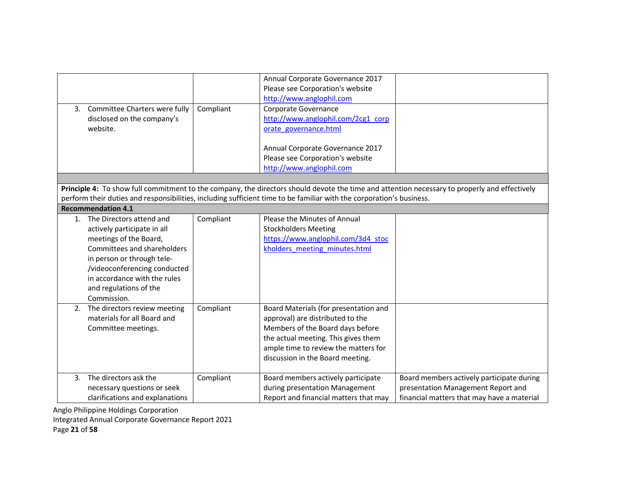| 3. Committee Charters were fully<br>disclosed on the company's<br>website.                                                                                                                                                                                 | Compliant | Annual Corporate Governance 2017<br>Please see Corporation's website<br>http://www.anglophil.com<br>Corporate Governance<br>http://www.anglophil.com/2cg1_corp<br>orate governance.html<br>Annual Corporate Governance 2017                                           |                                                                                                                               |
|------------------------------------------------------------------------------------------------------------------------------------------------------------------------------------------------------------------------------------------------------------|-----------|-----------------------------------------------------------------------------------------------------------------------------------------------------------------------------------------------------------------------------------------------------------------------|-------------------------------------------------------------------------------------------------------------------------------|
|                                                                                                                                                                                                                                                            |           | Please see Corporation's website<br>http://www.anglophil.com                                                                                                                                                                                                          |                                                                                                                               |
|                                                                                                                                                                                                                                                            |           |                                                                                                                                                                                                                                                                       |                                                                                                                               |
| <b>Recommendation 4.1</b>                                                                                                                                                                                                                                  |           | Principle 4: To show full commitment to the company, the directors should devote the time and attention necessary to properly and effectively<br>perform their duties and responsibilities, including sufficient time to be familiar with the corporation's business. |                                                                                                                               |
| 1. The Directors attend and<br>actively participate in all<br>meetings of the Board,<br>Committees and shareholders<br>in person or through tele-<br>/videoconferencing conducted<br>in accordance with the rules<br>and regulations of the<br>Commission. | Compliant | Please the Minutes of Annual<br><b>Stockholders Meeting</b><br>https://www.anglophil.com/3d4 stoc<br>kholders meeting minutes.html                                                                                                                                    |                                                                                                                               |
| 2. The directors review meeting<br>materials for all Board and<br>Committee meetings.                                                                                                                                                                      | Compliant | Board Materials (for presentation and<br>approval) are distributed to the<br>Members of the Board days before<br>the actual meeting. This gives them<br>ample time to review the matters for<br>discussion in the Board meeting.                                      |                                                                                                                               |
| 3. The directors ask the<br>necessary questions or seek<br>clarifications and explanations                                                                                                                                                                 | Compliant | Board members actively participate<br>during presentation Management<br>Report and financial matters that may                                                                                                                                                         | Board members actively participate during<br>presentation Management Report and<br>financial matters that may have a material |

Integrated Annual Corporate Governance Report 2021

Page 21 of 58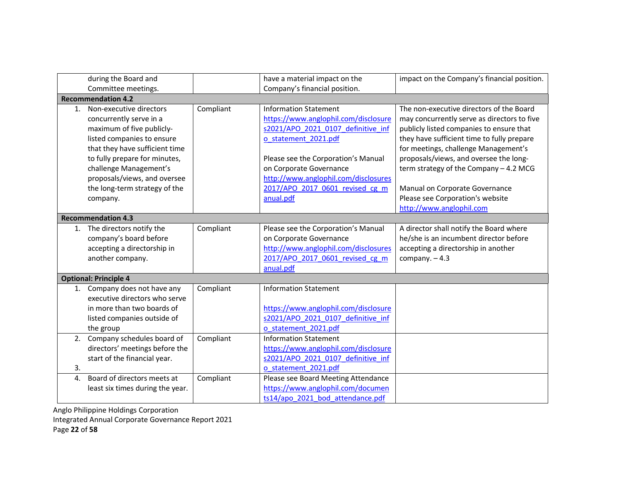|                | during the Board and<br>Committee meetings.                                                                                                                                                                                                                                             |           | have a material impact on the<br>Company's financial position.                                                                                                                                                                                                                               | impact on the Company's financial position.                                                                                                                                                                                                                                                                                                                                                                     |
|----------------|-----------------------------------------------------------------------------------------------------------------------------------------------------------------------------------------------------------------------------------------------------------------------------------------|-----------|----------------------------------------------------------------------------------------------------------------------------------------------------------------------------------------------------------------------------------------------------------------------------------------------|-----------------------------------------------------------------------------------------------------------------------------------------------------------------------------------------------------------------------------------------------------------------------------------------------------------------------------------------------------------------------------------------------------------------|
|                | <b>Recommendation 4.2</b>                                                                                                                                                                                                                                                               |           |                                                                                                                                                                                                                                                                                              |                                                                                                                                                                                                                                                                                                                                                                                                                 |
| 1.             | Non-executive directors<br>concurrently serve in a<br>maximum of five publicly-<br>listed companies to ensure<br>that they have sufficient time<br>to fully prepare for minutes,<br>challenge Management's<br>proposals/views, and oversee<br>the long-term strategy of the<br>company. | Compliant | <b>Information Statement</b><br>https://www.anglophil.com/disclosure<br>s2021/APO 2021 0107 definitive inf<br>o statement 2021.pdf<br>Please see the Corporation's Manual<br>on Corporate Governance<br>http://www.anglophil.com/disclosures<br>2017/APO 2017 0601 revised cg m<br>anual.pdf | The non-executive directors of the Board<br>may concurrently serve as directors to five<br>publicly listed companies to ensure that<br>they have sufficient time to fully prepare<br>for meetings, challenge Management's<br>proposals/views, and oversee the long-<br>term strategy of the Company - 4.2 MCG<br>Manual on Corporate Governance<br>Please see Corporation's website<br>http://www.anglophil.com |
|                | <b>Recommendation 4.3</b>                                                                                                                                                                                                                                                               |           |                                                                                                                                                                                                                                                                                              |                                                                                                                                                                                                                                                                                                                                                                                                                 |
|                | 1. The directors notify the<br>company's board before<br>accepting a directorship in<br>another company.                                                                                                                                                                                | Compliant | Please see the Corporation's Manual<br>on Corporate Governance<br>http://www.anglophil.com/disclosures<br>2017/APO 2017 0601 revised cg m<br>anual.pdf                                                                                                                                       | A director shall notify the Board where<br>he/she is an incumbent director before<br>accepting a directorship in another<br>company. $-4.3$                                                                                                                                                                                                                                                                     |
|                | <b>Optional: Principle 4</b>                                                                                                                                                                                                                                                            |           |                                                                                                                                                                                                                                                                                              |                                                                                                                                                                                                                                                                                                                                                                                                                 |
|                | 1. Company does not have any<br>executive directors who serve<br>in more than two boards of<br>listed companies outside of<br>the group                                                                                                                                                 | Compliant | <b>Information Statement</b><br>https://www.anglophil.com/disclosure<br>s2021/APO 2021 0107 definitive inf<br>o statement 2021.pdf                                                                                                                                                           |                                                                                                                                                                                                                                                                                                                                                                                                                 |
| 2.<br>3.       | Company schedules board of<br>directors' meetings before the<br>start of the financial year.                                                                                                                                                                                            | Compliant | <b>Information Statement</b><br>https://www.anglophil.com/disclosure<br>s2021/APO 2021 0107 definitive inf<br>o statement 2021.pdf                                                                                                                                                           |                                                                                                                                                                                                                                                                                                                                                                                                                 |
| $\mathbf{4}$ . | Board of directors meets at<br>least six times during the year.                                                                                                                                                                                                                         | Compliant | Please see Board Meeting Attendance<br>https://www.anglophil.com/documen<br>ts14/apo 2021 bod attendance.pdf                                                                                                                                                                                 |                                                                                                                                                                                                                                                                                                                                                                                                                 |

Anglo Philippine Holdings Corporation Integrated Annual Corporate Governance Report 2021

Page 22 of 58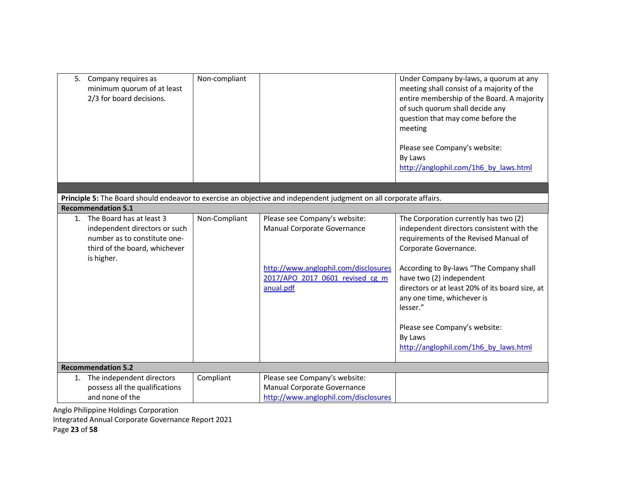| 5. Company requires as                    | minimum quorum of at least<br>2/3 for board decisions.                                         | Non-compliant |                                                                                                                                                      | Under Company by-laws, a quorum at any<br>meeting shall consist of a majority of the<br>entire membership of the Board. A majority<br>of such quorum shall decide any<br>question that may come before the<br>meeting<br>Please see Company's website:<br>By Laws<br>http://anglophil.com/1h6_by_laws.html                                                                                                    |  |  |
|-------------------------------------------|------------------------------------------------------------------------------------------------|---------------|------------------------------------------------------------------------------------------------------------------------------------------------------|---------------------------------------------------------------------------------------------------------------------------------------------------------------------------------------------------------------------------------------------------------------------------------------------------------------------------------------------------------------------------------------------------------------|--|--|
|                                           |                                                                                                |               |                                                                                                                                                      |                                                                                                                                                                                                                                                                                                                                                                                                               |  |  |
| <b>Recommendation 5.1</b>                 |                                                                                                |               | Principle 5: The Board should endeavor to exercise an objective and independent judgment on all corporate affairs.                                   |                                                                                                                                                                                                                                                                                                                                                                                                               |  |  |
| 1. The Board has at least 3<br>is higher. | independent directors or such<br>number as to constitute one-<br>third of the board, whichever | Non-Compliant | Please see Company's website:<br>Manual Corporate Governance<br>http://www.anglophil.com/disclosures<br>2017/APO 2017 0601 revised cg m<br>anual.pdf | The Corporation currently has two (2)<br>independent directors consistent with the<br>requirements of the Revised Manual of<br>Corporate Governance.<br>According to By-laws "The Company shall<br>have two (2) independent<br>directors or at least 20% of its board size, at<br>any one time, whichever is<br>lesser."<br>Please see Company's website:<br>By Laws<br>http://anglophil.com/1h6 by laws.html |  |  |
|                                           | <b>Recommendation 5.2</b>                                                                      |               |                                                                                                                                                      |                                                                                                                                                                                                                                                                                                                                                                                                               |  |  |
| and none of the                           | 1. The independent directors<br>possess all the qualifications                                 | Compliant     | Please see Company's website:<br>Manual Corporate Governance<br>http://www.anglophil.com/disclosures                                                 |                                                                                                                                                                                                                                                                                                                                                                                                               |  |  |

Integrated Annual Corporate Governance Report 2021

Page 23 of 58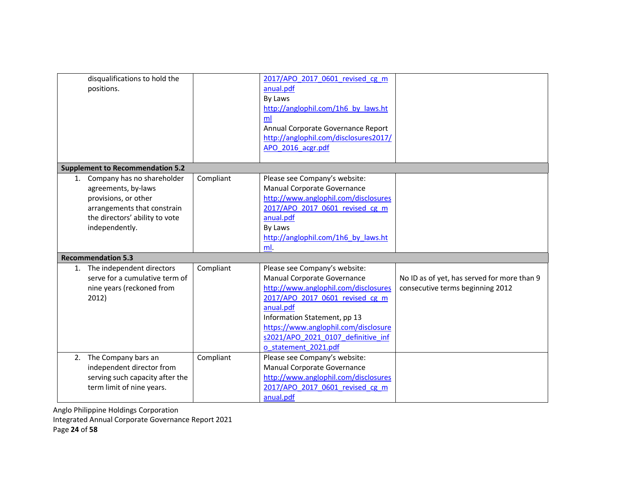|    | disqualifications to hold the<br>positions.                                                                                                                  |           | 2017/APO 2017 0601 revised cg m<br>anual.pdf<br>By Laws<br>http://anglophil.com/1h6 by laws.ht<br>ml<br>Annual Corporate Governance Report<br>http://anglophil.com/disclosures2017/<br>APO 2016 acgr.pdf                                                                                   |                                                                                 |
|----|--------------------------------------------------------------------------------------------------------------------------------------------------------------|-----------|--------------------------------------------------------------------------------------------------------------------------------------------------------------------------------------------------------------------------------------------------------------------------------------------|---------------------------------------------------------------------------------|
|    | <b>Supplement to Recommendation 5.2</b>                                                                                                                      |           |                                                                                                                                                                                                                                                                                            |                                                                                 |
| 1. | Company has no shareholder<br>agreements, by-laws<br>provisions, or other<br>arrangements that constrain<br>the directors' ability to vote<br>independently. | Compliant | Please see Company's website:<br>Manual Corporate Governance<br>http://www.anglophil.com/disclosures<br>2017/APO 2017 0601 revised cg m<br>anual.pdf<br>By Laws<br>http://anglophil.com/1h6 by laws.ht<br>ml.                                                                              |                                                                                 |
|    | <b>Recommendation 5.3</b>                                                                                                                                    |           |                                                                                                                                                                                                                                                                                            |                                                                                 |
| 1. | The independent directors<br>serve for a cumulative term of<br>nine years (reckoned from<br>2012)                                                            | Compliant | Please see Company's website:<br>Manual Corporate Governance<br>http://www.anglophil.com/disclosures<br>2017/APO 2017 0601 revised cg m<br>anual.pdf<br>Information Statement, pp 13<br>https://www.anglophil.com/disclosure<br>s2021/APO 2021 0107 definitive inf<br>o statement 2021.pdf | No ID as of yet, has served for more than 9<br>consecutive terms beginning 2012 |
| 2. | The Company bars an<br>independent director from<br>serving such capacity after the<br>term limit of nine years.                                             | Compliant | Please see Company's website:<br>Manual Corporate Governance<br>http://www.anglophil.com/disclosures<br>2017/APO 2017 0601 revised cg m<br>anual.pdf                                                                                                                                       |                                                                                 |

Anglo Philippine Holdings Corporation Integrated Annual Corporate Governance Report 2021

Page 24 of 58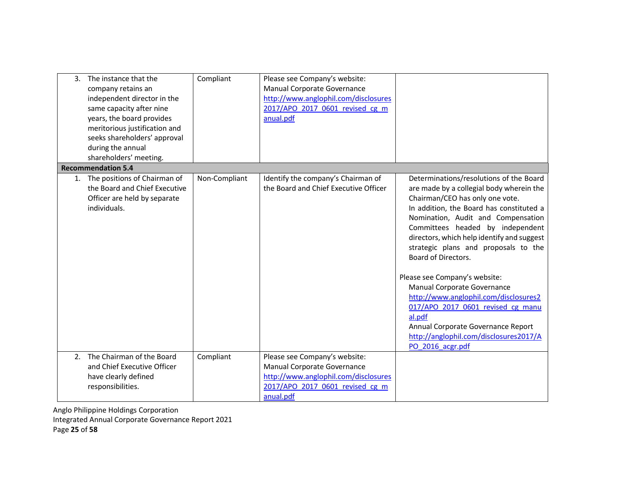| 3. | The instance that the<br>company retains an<br>independent director in the<br>same capacity after nine<br>years, the board provides<br>meritorious justification and<br>seeks shareholders' approval<br>during the annual<br>shareholders' meeting. | Compliant     | Please see Company's website:<br>Manual Corporate Governance<br>http://www.anglophil.com/disclosures<br>2017/APO 2017 0601 revised cg m<br>anual.pdf |                                                                                                                                                                                                                                                                                                                                                                                                                                  |
|----|-----------------------------------------------------------------------------------------------------------------------------------------------------------------------------------------------------------------------------------------------------|---------------|------------------------------------------------------------------------------------------------------------------------------------------------------|----------------------------------------------------------------------------------------------------------------------------------------------------------------------------------------------------------------------------------------------------------------------------------------------------------------------------------------------------------------------------------------------------------------------------------|
|    | <b>Recommendation 5.4</b>                                                                                                                                                                                                                           |               |                                                                                                                                                      |                                                                                                                                                                                                                                                                                                                                                                                                                                  |
|    | 1. The positions of Chairman of<br>the Board and Chief Executive<br>Officer are held by separate<br>individuals.                                                                                                                                    | Non-Compliant | Identify the company's Chairman of<br>the Board and Chief Executive Officer                                                                          | Determinations/resolutions of the Board<br>are made by a collegial body wherein the<br>Chairman/CEO has only one vote.<br>In addition, the Board has constituted a<br>Nomination, Audit and Compensation<br>Committees headed by independent<br>directors, which help identify and suggest<br>strategic plans and proposals to the<br><b>Board of Directors.</b><br>Please see Company's website:<br>Manual Corporate Governance |
|    |                                                                                                                                                                                                                                                     |               |                                                                                                                                                      | http://www.anglophil.com/disclosures2<br>017/APO 2017 0601 revised cg manu                                                                                                                                                                                                                                                                                                                                                       |
|    |                                                                                                                                                                                                                                                     |               |                                                                                                                                                      | al.pdf                                                                                                                                                                                                                                                                                                                                                                                                                           |
|    |                                                                                                                                                                                                                                                     |               |                                                                                                                                                      | Annual Corporate Governance Report<br>http://anglophil.com/disclosures2017/A                                                                                                                                                                                                                                                                                                                                                     |
|    |                                                                                                                                                                                                                                                     |               |                                                                                                                                                      | PO 2016 acgr.pdf                                                                                                                                                                                                                                                                                                                                                                                                                 |
| 2. | The Chairman of the Board                                                                                                                                                                                                                           | Compliant     | Please see Company's website:                                                                                                                        |                                                                                                                                                                                                                                                                                                                                                                                                                                  |
|    | and Chief Executive Officer                                                                                                                                                                                                                         |               | Manual Corporate Governance                                                                                                                          |                                                                                                                                                                                                                                                                                                                                                                                                                                  |
|    | have clearly defined                                                                                                                                                                                                                                |               | http://www.anglophil.com/disclosures                                                                                                                 |                                                                                                                                                                                                                                                                                                                                                                                                                                  |
|    | responsibilities.                                                                                                                                                                                                                                   |               | 2017/APO 2017 0601 revised cg m<br>anual.pdf                                                                                                         |                                                                                                                                                                                                                                                                                                                                                                                                                                  |
|    |                                                                                                                                                                                                                                                     |               |                                                                                                                                                      |                                                                                                                                                                                                                                                                                                                                                                                                                                  |

Anglo Philippine Holdings Corporation Integrated Annual Corporate Governance Report 2021

Page 25 of 58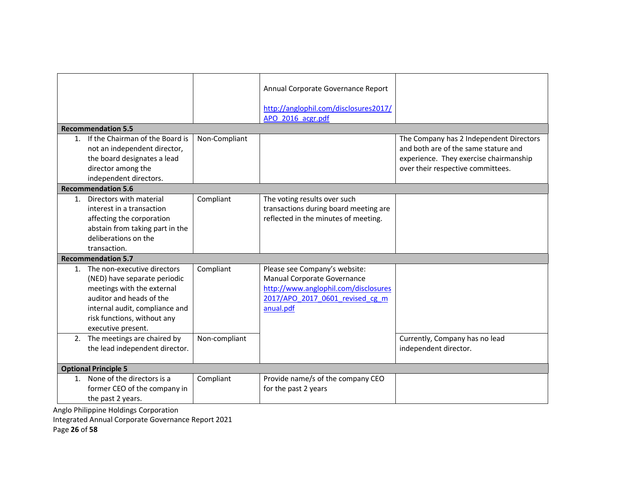|                |                                                                                                                                                                                                                 |               | Annual Corporate Governance Report                                                                                                                   |                                                                                 |
|----------------|-----------------------------------------------------------------------------------------------------------------------------------------------------------------------------------------------------------------|---------------|------------------------------------------------------------------------------------------------------------------------------------------------------|---------------------------------------------------------------------------------|
|                |                                                                                                                                                                                                                 |               | http://anglophil.com/disclosures2017/                                                                                                                |                                                                                 |
|                |                                                                                                                                                                                                                 |               | APO 2016 acgr.pdf                                                                                                                                    |                                                                                 |
|                | <b>Recommendation 5.5</b>                                                                                                                                                                                       |               |                                                                                                                                                      |                                                                                 |
| 1.             | If the Chairman of the Board is<br>not an independent director,<br>the board designates a lead                                                                                                                  | Non-Compliant |                                                                                                                                                      | The Company has 2 Independent Directors<br>and both are of the same stature and |
|                | director among the                                                                                                                                                                                              |               |                                                                                                                                                      | experience. They exercise chairmanship<br>over their respective committees.     |
|                | independent directors.                                                                                                                                                                                          |               |                                                                                                                                                      |                                                                                 |
|                | <b>Recommendation 5.6</b>                                                                                                                                                                                       |               |                                                                                                                                                      |                                                                                 |
| 1.             | Directors with material<br>interest in a transaction<br>affecting the corporation<br>abstain from taking part in the<br>deliberations on the                                                                    | Compliant     | The voting results over such<br>transactions during board meeting are<br>reflected in the minutes of meeting.                                        |                                                                                 |
|                | transaction.                                                                                                                                                                                                    |               |                                                                                                                                                      |                                                                                 |
|                | <b>Recommendation 5.7</b>                                                                                                                                                                                       |               |                                                                                                                                                      |                                                                                 |
|                | 1. The non-executive directors<br>(NED) have separate periodic<br>meetings with the external<br>auditor and heads of the<br>internal audit, compliance and<br>risk functions, without any<br>executive present. | Compliant     | Please see Company's website:<br>Manual Corporate Governance<br>http://www.anglophil.com/disclosures<br>2017/APO 2017 0601 revised cg m<br>anual.pdf |                                                                                 |
|                | 2. The meetings are chaired by<br>the lead independent director.                                                                                                                                                | Non-compliant |                                                                                                                                                      | Currently, Company has no lead<br>independent director.                         |
|                | <b>Optional Principle 5</b>                                                                                                                                                                                     |               |                                                                                                                                                      |                                                                                 |
| $\mathbf{1}$ . | None of the directors is a<br>former CEO of the company in<br>the past 2 years.                                                                                                                                 | Compliant     | Provide name/s of the company CEO<br>for the past 2 years                                                                                            |                                                                                 |
|                | aala Dhilinning Italdinga Carnaratian                                                                                                                                                                           |               |                                                                                                                                                      |                                                                                 |

Integrated Annual Corporate Governance Report 2021

Page 26 of 58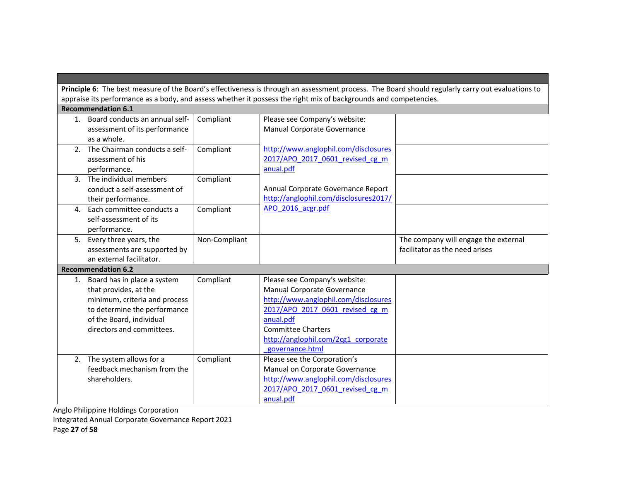Principle 6: The best measure of the Board's effectiveness is through an assessment process. The Board should regularly carry out evaluations to appraise its performance as a body, and assess whether it possess the right mix of backgrounds and competencies.

|                | <b>Recommendation 6.1</b>      |               |                                       |                                      |
|----------------|--------------------------------|---------------|---------------------------------------|--------------------------------------|
| 1.             | Board conducts an annual self- | Compliant     | Please see Company's website:         |                                      |
|                | assessment of its performance  |               | Manual Corporate Governance           |                                      |
|                | as a whole.                    |               |                                       |                                      |
| 2.             | The Chairman conducts a self-  | Compliant     | http://www.anglophil.com/disclosures  |                                      |
|                | assessment of his              |               | 2017/APO 2017 0601 revised cg m       |                                      |
|                | performance.                   |               | anual.pdf                             |                                      |
| 3 <sub>1</sub> | The individual members         | Compliant     |                                       |                                      |
|                | conduct a self-assessment of   |               | Annual Corporate Governance Report    |                                      |
|                | their performance.             |               | http://anglophil.com/disclosures2017/ |                                      |
| 4.             | Each committee conducts a      | Compliant     | APO 2016 acgr.pdf                     |                                      |
|                | self-assessment of its         |               |                                       |                                      |
|                | performance.                   |               |                                       |                                      |
|                | 5. Every three years, the      | Non-Compliant |                                       | The company will engage the external |
|                | assessments are supported by   |               |                                       | facilitator as the need arises       |
|                | an external facilitator.       |               |                                       |                                      |
|                | <b>Recommendation 6.2</b>      |               |                                       |                                      |
|                | 1. Board has in place a system | Compliant     | Please see Company's website:         |                                      |
|                | that provides, at the          |               | Manual Corporate Governance           |                                      |
|                | minimum, criteria and process  |               | http://www.anglophil.com/disclosures  |                                      |
|                | to determine the performance   |               | 2017/APO 2017 0601 revised cg m       |                                      |
|                | of the Board, individual       |               | anual.pdf                             |                                      |
|                |                                |               |                                       |                                      |
|                | directors and committees.      |               | <b>Committee Charters</b>             |                                      |
|                |                                |               | http://anglophil.com/2cg1 corporate   |                                      |
|                |                                |               | governance.html                       |                                      |
|                | 2. The system allows for a     | Compliant     | Please see the Corporation's          |                                      |
|                | feedback mechanism from the    |               | Manual on Corporate Governance        |                                      |
|                | shareholders.                  |               | http://www.anglophil.com/disclosures  |                                      |
|                |                                |               | 2017/APO 2017 0601 revised cg m       |                                      |

Anglo Philippine Holdings Corporation Integrated Annual Corporate Governance Report 2021 Page 27 of 58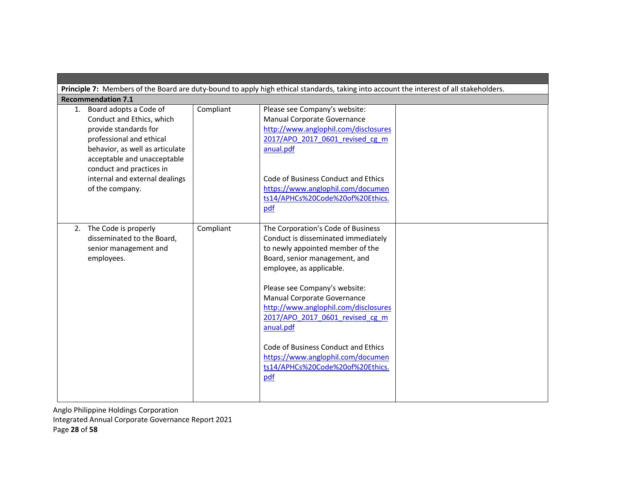|                                                                                                                                                                                                                                                                |           | Principle 7: Members of the Board are duty-bound to apply high ethical standards, taking into account the interest of all stakeholders.                                                                                          |  |
|----------------------------------------------------------------------------------------------------------------------------------------------------------------------------------------------------------------------------------------------------------------|-----------|----------------------------------------------------------------------------------------------------------------------------------------------------------------------------------------------------------------------------------|--|
| <b>Recommendation 7.1</b>                                                                                                                                                                                                                                      |           |                                                                                                                                                                                                                                  |  |
| 1. Board adopts a Code of<br>Conduct and Ethics, which<br>provide standards for<br>professional and ethical<br>behavior, as well as articulate<br>acceptable and unacceptable<br>conduct and practices in<br>internal and external dealings<br>of the company. | Compliant | Please see Company's website:<br>Manual Corporate Governance<br>http://www.anglophil.com/disclosures<br>2017/APO 2017 0601 revised cg m<br>anual.pdf<br>Code of Business Conduct and Ethics<br>https://www.anglophil.com/documen |  |
| 2. The Code is properly                                                                                                                                                                                                                                        | Compliant | ts14/APHCs%20Code%20of%20Ethics.<br>pdf<br>The Corporation's Code of Business                                                                                                                                                    |  |
| disseminated to the Board,<br>senior management and<br>employees.                                                                                                                                                                                              |           | Conduct is disseminated immediately<br>to newly appointed member of the<br>Board, senior management, and<br>employee, as applicable.                                                                                             |  |
|                                                                                                                                                                                                                                                                |           | Please see Company's website:<br>Manual Corporate Governance<br>http://www.anglophil.com/disclosures<br>2017/APO 2017 0601 revised cg m<br>anual.pdf                                                                             |  |
|                                                                                                                                                                                                                                                                |           | Code of Business Conduct and Ethics<br>https://www.anglophil.com/documen<br>ts14/APHCs%20Code%20of%20Ethics.<br>pdf                                                                                                              |  |

Anglo Philippine Holdings Corporation Integrated Annual Corporate Governance Report 2021 Page 28 of 58

▅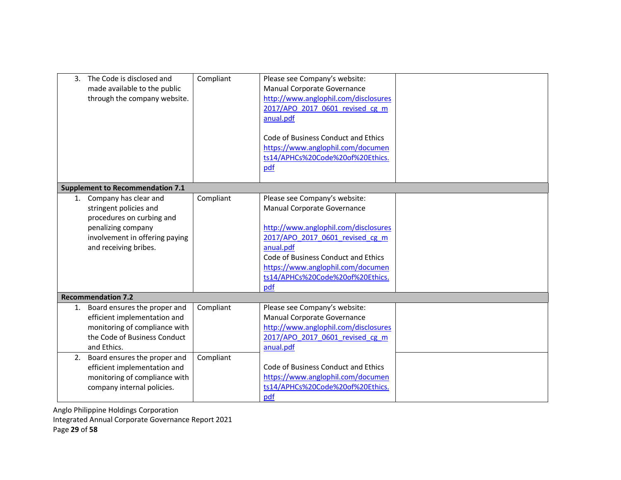| 3. | The Code is disclosed and<br>made available to the public<br>through the company website.                                                                        | Compliant | Please see Company's website:<br>Manual Corporate Governance<br>http://www.anglophil.com/disclosures<br>2017/APO 2017 0601 revised cg m<br>anual.pdf<br>Code of Business Conduct and Ethics<br>https://www.anglophil.com/documen<br>ts14/APHCs%20Code%20of%20Ethics.<br>pdf |  |
|----|------------------------------------------------------------------------------------------------------------------------------------------------------------------|-----------|-----------------------------------------------------------------------------------------------------------------------------------------------------------------------------------------------------------------------------------------------------------------------------|--|
|    | <b>Supplement to Recommendation 7.1</b>                                                                                                                          |           |                                                                                                                                                                                                                                                                             |  |
|    | 1. Company has clear and<br>stringent policies and<br>procedures on curbing and<br>penalizing company<br>involvement in offering paying<br>and receiving bribes. | Compliant | Please see Company's website:<br>Manual Corporate Governance<br>http://www.anglophil.com/disclosures<br>2017/APO 2017 0601 revised cg m<br>anual.pdf<br>Code of Business Conduct and Ethics<br>https://www.anglophil.com/documen<br>ts14/APHCs%20Code%20of%20Ethics.<br>pdf |  |
|    | <b>Recommendation 7.2</b>                                                                                                                                        |           |                                                                                                                                                                                                                                                                             |  |
| 1. | Board ensures the proper and<br>efficient implementation and<br>monitoring of compliance with<br>the Code of Business Conduct<br>and Ethics.                     | Compliant | Please see Company's website:<br>Manual Corporate Governance<br>http://www.anglophil.com/disclosures<br>2017/APO 2017 0601 revised cg m<br>anual.pdf                                                                                                                        |  |
| 2. | Board ensures the proper and<br>efficient implementation and<br>monitoring of compliance with<br>company internal policies.                                      | Compliant | Code of Business Conduct and Ethics<br>https://www.anglophil.com/documen<br>ts14/APHCs%20Code%20of%20Ethics.<br>pdf                                                                                                                                                         |  |

Anglo Philippine Holdings Corporation Integrated Annual Corporate Governance Report 2021 Page 29 of 58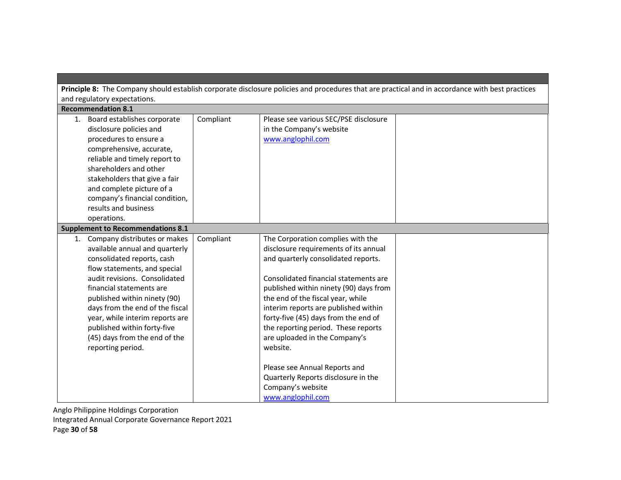|                                                                                                                                                                                                                                                                                                                                                                                         |           |                                                                                                                                                                                                                                                                                                                                                                                                               | Principle 8: The Company should establish corporate disclosure policies and procedures that are practical and in accordance with best practices |
|-----------------------------------------------------------------------------------------------------------------------------------------------------------------------------------------------------------------------------------------------------------------------------------------------------------------------------------------------------------------------------------------|-----------|---------------------------------------------------------------------------------------------------------------------------------------------------------------------------------------------------------------------------------------------------------------------------------------------------------------------------------------------------------------------------------------------------------------|-------------------------------------------------------------------------------------------------------------------------------------------------|
| and regulatory expectations.                                                                                                                                                                                                                                                                                                                                                            |           |                                                                                                                                                                                                                                                                                                                                                                                                               |                                                                                                                                                 |
| <b>Recommendation 8.1</b>                                                                                                                                                                                                                                                                                                                                                               |           |                                                                                                                                                                                                                                                                                                                                                                                                               |                                                                                                                                                 |
| 1. Board establishes corporate<br>disclosure policies and<br>procedures to ensure a<br>comprehensive, accurate,<br>reliable and timely report to<br>shareholders and other<br>stakeholders that give a fair<br>and complete picture of a<br>company's financial condition,<br>results and business<br>operations.                                                                       | Compliant | Please see various SEC/PSE disclosure<br>in the Company's website<br>www.anglophil.com                                                                                                                                                                                                                                                                                                                        |                                                                                                                                                 |
| <b>Supplement to Recommendations 8.1</b>                                                                                                                                                                                                                                                                                                                                                |           |                                                                                                                                                                                                                                                                                                                                                                                                               |                                                                                                                                                 |
| 1. Company distributes or makes<br>available annual and quarterly<br>consolidated reports, cash<br>flow statements, and special<br>audit revisions. Consolidated<br>financial statements are<br>published within ninety (90)<br>days from the end of the fiscal<br>year, while interim reports are<br>published within forty-five<br>(45) days from the end of the<br>reporting period. | Compliant | The Corporation complies with the<br>disclosure requirements of its annual<br>and quarterly consolidated reports.<br>Consolidated financial statements are<br>published within ninety (90) days from<br>the end of the fiscal year, while<br>interim reports are published within<br>forty-five (45) days from the end of<br>the reporting period. These reports<br>are uploaded in the Company's<br>website. |                                                                                                                                                 |
|                                                                                                                                                                                                                                                                                                                                                                                         |           | Please see Annual Reports and<br>Quarterly Reports disclosure in the<br>Company's website<br>www.anglophil.com                                                                                                                                                                                                                                                                                                |                                                                                                                                                 |

Anglo Philippine Holdings Corporation Integrated Annual Corporate Governance Report 2021

Page 30 of 58

**Contract Contract**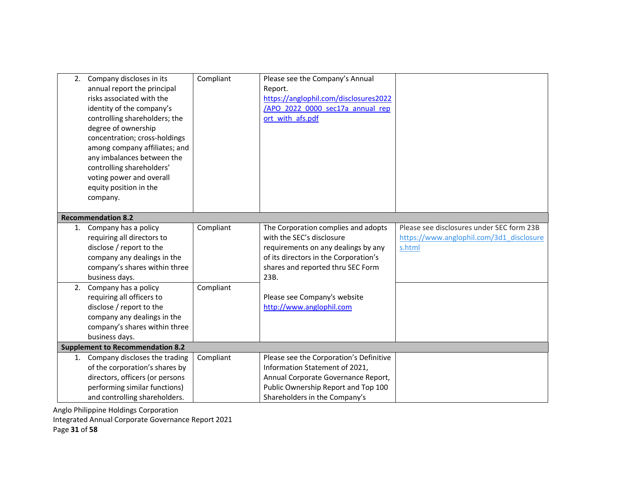| 2. | Company discloses in its<br>annual report the principal<br>risks associated with the<br>identity of the company's<br>controlling shareholders; the<br>degree of ownership<br>concentration; cross-holdings<br>among company affiliates; and<br>any imbalances between the<br>controlling shareholders'<br>voting power and overall<br>equity position in the<br>company.<br><b>Recommendation 8.2</b> | Compliant | Please see the Company's Annual<br>Report.<br>https://anglophil.com/disclosures2022<br>/APO 2022 0000 sec17a annual rep<br>ort with afs.pdf                                                   |                                                                                                 |
|----|-------------------------------------------------------------------------------------------------------------------------------------------------------------------------------------------------------------------------------------------------------------------------------------------------------------------------------------------------------------------------------------------------------|-----------|-----------------------------------------------------------------------------------------------------------------------------------------------------------------------------------------------|-------------------------------------------------------------------------------------------------|
| 1. | Company has a policy<br>requiring all directors to<br>disclose / report to the<br>company any dealings in the<br>company's shares within three<br>business days.                                                                                                                                                                                                                                      | Compliant | The Corporation complies and adopts<br>with the SEC's disclosure<br>requirements on any dealings by any<br>of its directors in the Corporation's<br>shares and reported thru SEC Form<br>23B. | Please see disclosures under SEC form 23B<br>https://www.anglophil.com/3d1_disclosure<br>s.html |
| 2. | Company has a policy<br>requiring all officers to<br>disclose / report to the<br>company any dealings in the<br>company's shares within three<br>business days.                                                                                                                                                                                                                                       | Compliant | Please see Company's website<br>http://www.anglophil.com                                                                                                                                      |                                                                                                 |
|    | <b>Supplement to Recommendation 8.2</b>                                                                                                                                                                                                                                                                                                                                                               |           |                                                                                                                                                                                               |                                                                                                 |
| 1. | Company discloses the trading<br>of the corporation's shares by<br>directors, officers (or persons<br>performing similar functions)<br>and controlling shareholders.                                                                                                                                                                                                                                  | Compliant | Please see the Corporation's Definitive<br>Information Statement of 2021,<br>Annual Corporate Governance Report,<br>Public Ownership Report and Top 100<br>Shareholders in the Company's      |                                                                                                 |

Integrated Annual Corporate Governance Report 2021

Page 31 of 58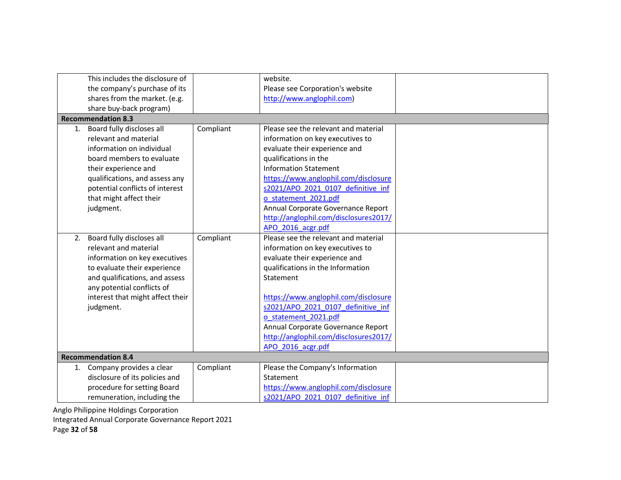| This includes the disclosure of  |           | website.                              |
|----------------------------------|-----------|---------------------------------------|
| the company's purchase of its    |           | Please see Corporation's website      |
| shares from the market. (e.g.    |           | http://www.anglophil.com)             |
| share buy-back program)          |           |                                       |
| <b>Recommendation 8.3</b>        |           |                                       |
| 1. Board fully discloses all     | Compliant | Please see the relevant and material  |
| relevant and material            |           | information on key executives to      |
| information on individual        |           | evaluate their experience and         |
| board members to evaluate        |           | qualifications in the                 |
| their experience and             |           | <b>Information Statement</b>          |
| qualifications, and assess any   |           | https://www.anglophil.com/disclosure  |
| potential conflicts of interest  |           | s2021/APO 2021 0107 definitive inf    |
| that might affect their          |           | o statement 2021.pdf                  |
| judgment.                        |           | Annual Corporate Governance Report    |
|                                  |           | http://anglophil.com/disclosures2017/ |
|                                  |           | APO 2016 acgr.pdf                     |
| 2. Board fully discloses all     | Compliant | Please see the relevant and material  |
| relevant and material            |           | information on key executives to      |
| information on key executives    |           | evaluate their experience and         |
| to evaluate their experience     |           | qualifications in the Information     |
| and qualifications, and assess   |           | Statement                             |
| any potential conflicts of       |           |                                       |
| interest that might affect their |           | https://www.anglophil.com/disclosure  |
| judgment.                        |           | s2021/APO 2021 0107 definitive inf    |
|                                  |           | o statement 2021.pdf                  |
|                                  |           | Annual Corporate Governance Report    |
|                                  |           | http://anglophil.com/disclosures2017/ |
|                                  |           | APO 2016 acgr.pdf                     |
| <b>Recommendation 8.4</b>        |           |                                       |
| Company provides a clear<br>1.   | Compliant | Please the Company's Information      |
| disclosure of its policies and   |           | Statement                             |
| procedure for setting Board      |           | https://www.anglophil.com/disclosure  |
| remuneration, including the      |           | s2021/APO 2021 0107 definitive inf    |

Integrated Annual Corporate Governance Report 2021

Page 32 of 58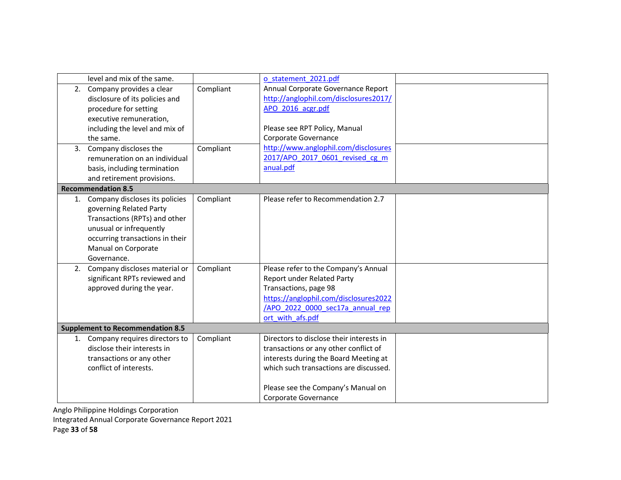|    | level and mix of the same.              |           | o statement 2021.pdf                     |
|----|-----------------------------------------|-----------|------------------------------------------|
|    | 2. Company provides a clear             | Compliant | Annual Corporate Governance Report       |
|    | disclosure of its policies and          |           | http://anglophil.com/disclosures2017/    |
|    | procedure for setting                   |           | APO 2016 acgr.pdf                        |
|    | executive remuneration,                 |           |                                          |
|    | including the level and mix of          |           | Please see RPT Policy, Manual            |
|    | the same.                               |           | Corporate Governance                     |
|    | 3. Company discloses the                | Compliant | http://www.anglophil.com/disclosures     |
|    | remuneration on an individual           |           | 2017/APO 2017 0601 revised cg m          |
|    | basis, including termination            |           | anual.pdf                                |
|    | and retirement provisions.              |           |                                          |
|    | <b>Recommendation 8.5</b>               |           |                                          |
|    | 1. Company discloses its policies       | Compliant | Please refer to Recommendation 2.7       |
|    | governing Related Party                 |           |                                          |
|    | Transactions (RPTs) and other           |           |                                          |
|    | unusual or infrequently                 |           |                                          |
|    | occurring transactions in their         |           |                                          |
|    | Manual on Corporate                     |           |                                          |
|    | Governance.                             |           |                                          |
| 2. | Company discloses material or           | Compliant | Please refer to the Company's Annual     |
|    | significant RPTs reviewed and           |           | Report under Related Party               |
|    | approved during the year.               |           | Transactions, page 98                    |
|    |                                         |           | https://anglophil.com/disclosures2022    |
|    |                                         |           | /APO 2022 0000 sec17a annual rep         |
|    |                                         |           | ort with afs.pdf                         |
|    | <b>Supplement to Recommendation 8.5</b> |           |                                          |
|    | 1. Company requires directors to        | Compliant | Directors to disclose their interests in |
|    | disclose their interests in             |           | transactions or any other conflict of    |
|    | transactions or any other               |           | interests during the Board Meeting at    |
|    | conflict of interests.                  |           | which such transactions are discussed.   |
|    |                                         |           | Please see the Company's Manual on       |
|    |                                         |           | Corporate Governance                     |
|    |                                         |           |                                          |

Integrated Annual Corporate Governance Report 2021

Page 33 of 58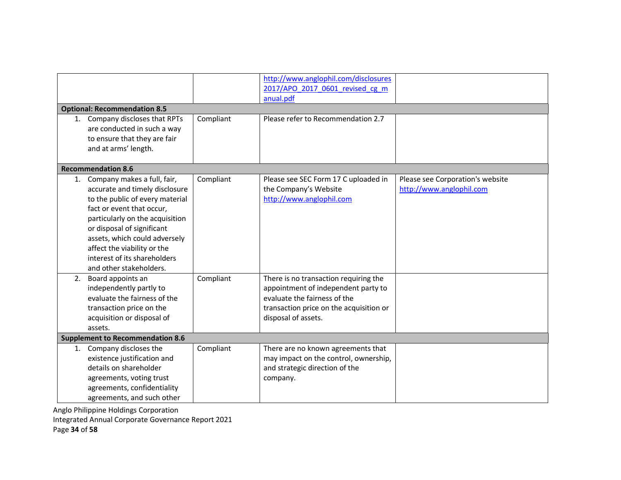|    |                                         |           | http://www.anglophil.com/disclosures    |                                  |
|----|-----------------------------------------|-----------|-----------------------------------------|----------------------------------|
|    |                                         |           | 2017/APO 2017 0601 revised cg m         |                                  |
|    |                                         |           | anual.pdf                               |                                  |
|    | <b>Optional: Recommendation 8.5</b>     |           |                                         |                                  |
|    | 1. Company discloses that RPTs          | Compliant | Please refer to Recommendation 2.7      |                                  |
|    | are conducted in such a way             |           |                                         |                                  |
|    | to ensure that they are fair            |           |                                         |                                  |
|    | and at arms' length.                    |           |                                         |                                  |
|    |                                         |           |                                         |                                  |
|    | <b>Recommendation 8.6</b>               |           |                                         |                                  |
| 1. | Company makes a full, fair,             | Compliant | Please see SEC Form 17 C uploaded in    | Please see Corporation's website |
|    | accurate and timely disclosure          |           | the Company's Website                   | http://www.anglophil.com         |
|    | to the public of every material         |           | http://www.anglophil.com                |                                  |
|    | fact or event that occur,               |           |                                         |                                  |
|    | particularly on the acquisition         |           |                                         |                                  |
|    | or disposal of significant              |           |                                         |                                  |
|    | assets, which could adversely           |           |                                         |                                  |
|    | affect the viability or the             |           |                                         |                                  |
|    | interest of its shareholders            |           |                                         |                                  |
|    | and other stakeholders.                 |           |                                         |                                  |
| 2. | Board appoints an                       | Compliant | There is no transaction requiring the   |                                  |
|    | independently partly to                 |           | appointment of independent party to     |                                  |
|    | evaluate the fairness of the            |           | evaluate the fairness of the            |                                  |
|    | transaction price on the                |           | transaction price on the acquisition or |                                  |
|    | acquisition or disposal of              |           | disposal of assets.                     |                                  |
|    | assets.                                 |           |                                         |                                  |
|    | <b>Supplement to Recommendation 8.6</b> |           |                                         |                                  |
| 1. | Company discloses the                   | Compliant | There are no known agreements that      |                                  |
|    | existence justification and             |           | may impact on the control, ownership,   |                                  |
|    | details on shareholder                  |           | and strategic direction of the          |                                  |
|    | agreements, voting trust                |           | company.                                |                                  |
|    | agreements, confidentiality             |           |                                         |                                  |
|    | agreements, and such other              |           |                                         |                                  |

Integrated Annual Corporate Governance Report 2021

Page 34 of 58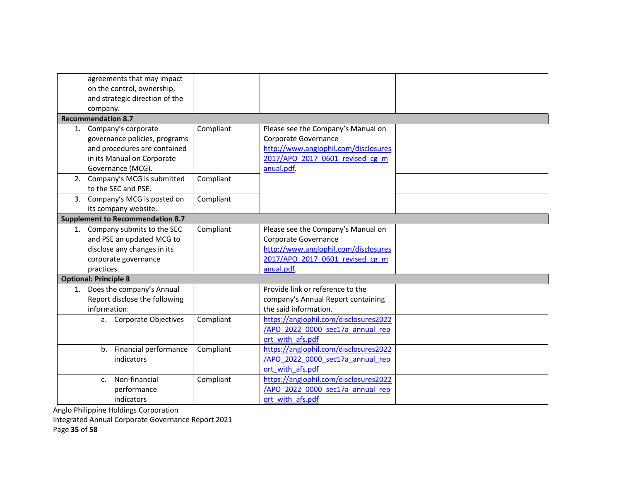| agreements that may impact<br>on the control, ownership,                                                                                   |           |                                                                                                                                                     |  |
|--------------------------------------------------------------------------------------------------------------------------------------------|-----------|-----------------------------------------------------------------------------------------------------------------------------------------------------|--|
| and strategic direction of the                                                                                                             |           |                                                                                                                                                     |  |
| company.                                                                                                                                   |           |                                                                                                                                                     |  |
| <b>Recommendation 8.7</b>                                                                                                                  |           |                                                                                                                                                     |  |
| 1. Company's corporate<br>governance policies, programs<br>and procedures are contained<br>in its Manual on Corporate<br>Governance (MCG). | Compliant | Please see the Company's Manual on<br>Corporate Governance<br>http://www.anglophil.com/disclosures<br>2017/APO 2017 0601 revised cg m<br>anual.pdf. |  |
| 2. Company's MCG is submitted<br>to the SEC and PSE.                                                                                       | Compliant |                                                                                                                                                     |  |
| 3. Company's MCG is posted on<br>its company website.                                                                                      | Compliant |                                                                                                                                                     |  |
| <b>Supplement to Recommendation 8.7</b>                                                                                                    |           |                                                                                                                                                     |  |
| 1. Company submits to the SEC                                                                                                              | Compliant | Please see the Company's Manual on                                                                                                                  |  |
| and PSE an updated MCG to                                                                                                                  |           | Corporate Governance                                                                                                                                |  |
| disclose any changes in its                                                                                                                |           | http://www.anglophil.com/disclosures                                                                                                                |  |
| corporate governance                                                                                                                       |           | 2017/APO 2017 0601 revised cg m                                                                                                                     |  |
| practices.                                                                                                                                 |           | anual.pdf.                                                                                                                                          |  |
| <b>Optional: Principle 8</b>                                                                                                               |           |                                                                                                                                                     |  |
| 1. Does the company's Annual                                                                                                               |           | Provide link or reference to the                                                                                                                    |  |
| Report disclose the following                                                                                                              |           | company's Annual Report containing                                                                                                                  |  |
| information:                                                                                                                               |           | the said information.                                                                                                                               |  |
| a. Corporate Objectives                                                                                                                    | Compliant | https://anglophil.com/disclosures2022                                                                                                               |  |
|                                                                                                                                            |           | /APO 2022 0000 sec17a annual rep                                                                                                                    |  |
|                                                                                                                                            |           | ort with afs.pdf                                                                                                                                    |  |
| Financial performance<br>$b_{\cdot}$                                                                                                       | Compliant | https://anglophil.com/disclosures2022                                                                                                               |  |
| indicators                                                                                                                                 |           | /APO 2022 0000 sec17a annual rep                                                                                                                    |  |
|                                                                                                                                            |           | ort with afs.pdf                                                                                                                                    |  |
| Non-financial<br>$C_{r}$                                                                                                                   | Compliant | https://anglophil.com/disclosures2022                                                                                                               |  |
| performance                                                                                                                                |           | /APO 2022 0000 sec17a annual rep                                                                                                                    |  |
| indicators                                                                                                                                 |           | ort with afs.pdf                                                                                                                                    |  |

Integrated Annual Corporate Governance Report 2021

Page 35 of 58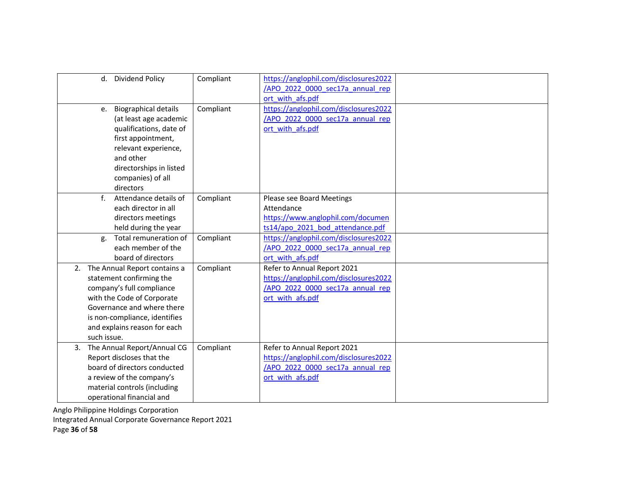|    | d. Dividend Policy                                                                                                                                                                                                                   | Compliant | https://anglophil.com/disclosures2022<br>/APO 2022 0000 sec17a annual rep<br>ort with afs.pdf                                |  |
|----|--------------------------------------------------------------------------------------------------------------------------------------------------------------------------------------------------------------------------------------|-----------|------------------------------------------------------------------------------------------------------------------------------|--|
|    | <b>Biographical details</b><br>e.<br>(at least age academic<br>qualifications, date of<br>first appointment,<br>relevant experience,<br>and other<br>directorships in listed<br>companies) of all<br>directors                       | Compliant | https://anglophil.com/disclosures2022<br>/APO 2022 0000 sec17a annual rep<br>ort with afs.pdf                                |  |
|    | f<br>Attendance details of<br>each director in all<br>directors meetings<br>held during the year                                                                                                                                     | Compliant | Please see Board Meetings<br>Attendance<br>https://www.anglophil.com/documen<br>ts14/apo 2021 bod attendance.pdf             |  |
|    | Total remuneration of<br>g.<br>each member of the<br>board of directors                                                                                                                                                              | Compliant | https://anglophil.com/disclosures2022<br>/APO 2022 0000 sec17a annual rep<br>ort with afs.pdf                                |  |
|    | 2. The Annual Report contains a<br>statement confirming the<br>company's full compliance<br>with the Code of Corporate<br>Governance and where there<br>is non-compliance, identifies<br>and explains reason for each<br>such issue. | Compliant | Refer to Annual Report 2021<br>https://anglophil.com/disclosures2022<br>/APO 2022 0000 sec17a annual rep<br>ort with afs.pdf |  |
| 3. | The Annual Report/Annual CG<br>Report discloses that the<br>board of directors conducted<br>a review of the company's<br>material controls (including<br>operational financial and                                                   | Compliant | Refer to Annual Report 2021<br>https://anglophil.com/disclosures2022<br>/APO 2022 0000 sec17a annual rep<br>ort with afs.pdf |  |

Integrated Annual Corporate Governance Report 2021

Page 36 of 58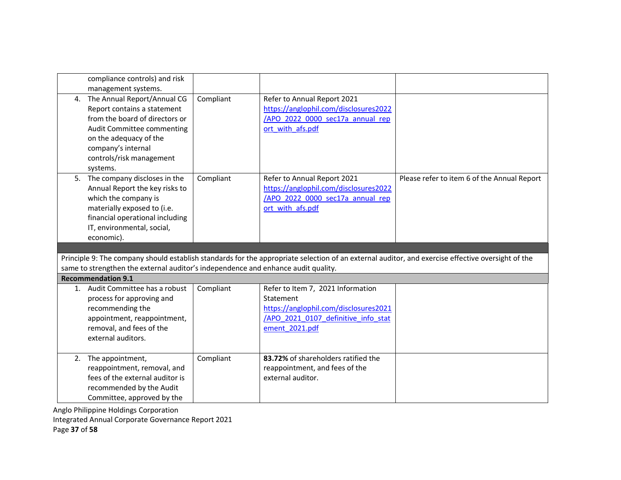| compliance controls) and risk<br>management systems.                                                                                                                                                                  |           |                                                                                                                                                  |                                                                                                                                                   |
|-----------------------------------------------------------------------------------------------------------------------------------------------------------------------------------------------------------------------|-----------|--------------------------------------------------------------------------------------------------------------------------------------------------|---------------------------------------------------------------------------------------------------------------------------------------------------|
| 4. The Annual Report/Annual CG<br>Report contains a statement<br>from the board of directors or<br>Audit Committee commenting<br>on the adequacy of the<br>company's internal<br>controls/risk management<br>systems. | Compliant | Refer to Annual Report 2021<br>https://anglophil.com/disclosures2022<br>/APO 2022 0000 sec17a annual rep<br>ort with afs.pdf                     |                                                                                                                                                   |
| 5. The company discloses in the<br>Annual Report the key risks to<br>which the company is<br>materially exposed to (i.e.<br>financial operational including<br>IT, environmental, social,<br>economic).               | Compliant | Refer to Annual Report 2021<br>https://anglophil.com/disclosures2022<br>/APO 2022 0000 sec17a annual rep<br>ort with afs.pdf                     | Please refer to item 6 of the Annual Report                                                                                                       |
|                                                                                                                                                                                                                       |           |                                                                                                                                                  |                                                                                                                                                   |
| same to strengthen the external auditor's independence and enhance audit quality.                                                                                                                                     |           |                                                                                                                                                  | Principle 9: The company should establish standards for the appropriate selection of an external auditor, and exercise effective oversight of the |
| <b>Recommendation 9.1</b>                                                                                                                                                                                             |           |                                                                                                                                                  |                                                                                                                                                   |
| 1. Audit Committee has a robust<br>process for approving and<br>recommending the<br>appointment, reappointment,<br>removal, and fees of the<br>external auditors.                                                     | Compliant | Refer to Item 7, 2021 Information<br>Statement<br>https://anglophil.com/disclosures2021<br>/APO 2021 0107 definitive info stat<br>ement 2021.pdf |                                                                                                                                                   |
| 2. The appointment,                                                                                                                                                                                                   | Compliant | 83.72% of shareholders ratified the                                                                                                              |                                                                                                                                                   |

Integrated Annual Corporate Governance Report 2021

Page 37 of 58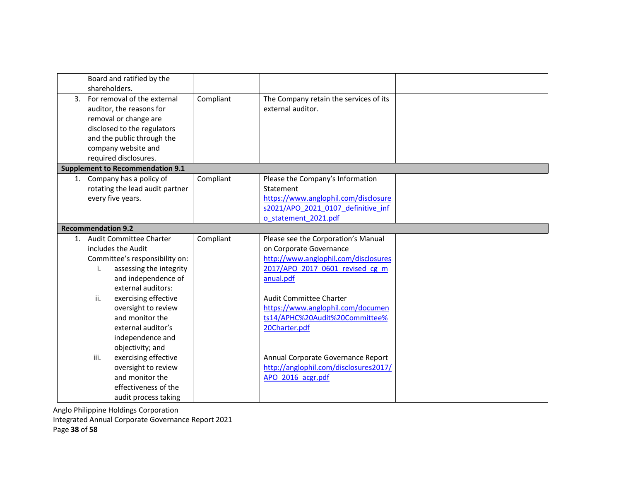| Board and ratified by the<br>shareholders.                                                                                                                                                                                                                                                              |           |                                                                                                                                                                                                                                                                           |  |
|---------------------------------------------------------------------------------------------------------------------------------------------------------------------------------------------------------------------------------------------------------------------------------------------------------|-----------|---------------------------------------------------------------------------------------------------------------------------------------------------------------------------------------------------------------------------------------------------------------------------|--|
| 3. For removal of the external<br>auditor, the reasons for<br>removal or change are<br>disclosed to the regulators<br>and the public through the<br>company website and<br>required disclosures.                                                                                                        | Compliant | The Company retain the services of its<br>external auditor.                                                                                                                                                                                                               |  |
| <b>Supplement to Recommendation 9.1</b>                                                                                                                                                                                                                                                                 |           |                                                                                                                                                                                                                                                                           |  |
| 1. Company has a policy of<br>rotating the lead audit partner<br>every five years.                                                                                                                                                                                                                      | Compliant | Please the Company's Information<br>Statement<br>https://www.anglophil.com/disclosure<br>s2021/APO 2021 0107 definitive inf<br>o statement 2021.pdf                                                                                                                       |  |
| <b>Recommendation 9.2</b>                                                                                                                                                                                                                                                                               |           |                                                                                                                                                                                                                                                                           |  |
| 1. Audit Committee Charter<br>includes the Audit<br>Committee's responsibility on:<br>assessing the integrity<br>i.<br>and independence of<br>external auditors:<br>ii.<br>exercising effective<br>oversight to review<br>and monitor the<br>external auditor's<br>independence and<br>objectivity; and | Compliant | Please see the Corporation's Manual<br>on Corporate Governance<br>http://www.anglophil.com/disclosures<br>2017/APO 2017 0601 revised cg m<br>anual.pdf<br>Audit Committee Charter<br>https://www.anglophil.com/documen<br>ts14/APHC%20Audit%20Committee%<br>20Charter.pdf |  |
| exercising effective<br>iii.<br>oversight to review<br>and monitor the<br>effectiveness of the<br>audit process taking                                                                                                                                                                                  |           | Annual Corporate Governance Report<br>http://anglophil.com/disclosures2017/<br>APO 2016 acgr.pdf                                                                                                                                                                          |  |

Integrated Annual Corporate Governance Report 2021

Page 38 of 58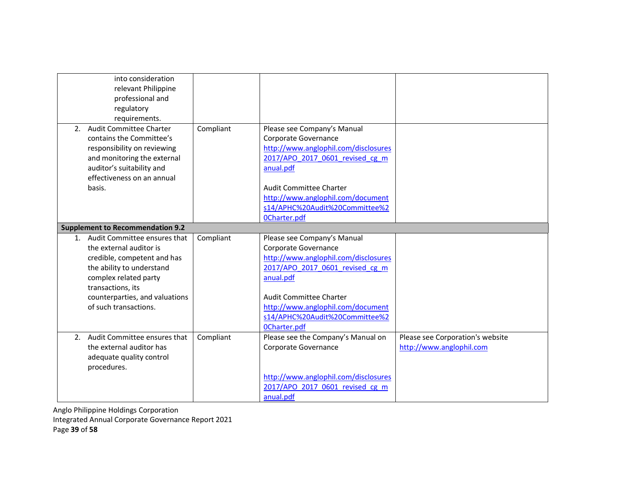| into consideration<br>relevant Philippine<br>professional and<br>regulatory<br>requirements.                                                                                                                                    |           |                                                                                                                                                                                                                                                                             |                                                              |
|---------------------------------------------------------------------------------------------------------------------------------------------------------------------------------------------------------------------------------|-----------|-----------------------------------------------------------------------------------------------------------------------------------------------------------------------------------------------------------------------------------------------------------------------------|--------------------------------------------------------------|
| 2. Audit Committee Charter<br>contains the Committee's<br>responsibility on reviewing<br>and monitoring the external<br>auditor's suitability and<br>effectiveness on an annual<br>basis.                                       | Compliant | Please see Company's Manual<br>Corporate Governance<br>http://www.anglophil.com/disclosures<br>2017/APO 2017 0601 revised cg m<br>anual.pdf<br><b>Audit Committee Charter</b><br>http://www.anglophil.com/document<br>s14/APHC%20Audit%20Committee%2<br><b>OCharter.pdf</b> |                                                              |
| <b>Supplement to Recommendation 9.2</b>                                                                                                                                                                                         |           |                                                                                                                                                                                                                                                                             |                                                              |
| 1. Audit Committee ensures that<br>the external auditor is<br>credible, competent and has<br>the ability to understand<br>complex related party<br>transactions, its<br>counterparties, and valuations<br>of such transactions. | Compliant | Please see Company's Manual<br>Corporate Governance<br>http://www.anglophil.com/disclosures<br>2017/APO 2017 0601 revised cg m<br>anual.pdf<br><b>Audit Committee Charter</b><br>http://www.anglophil.com/document<br>s14/APHC%20Audit%20Committee%2<br><b>OCharter.pdf</b> |                                                              |
| 2. Audit Committee ensures that<br>the external auditor has<br>adequate quality control<br>procedures.                                                                                                                          | Compliant | Please see the Company's Manual on<br>Corporate Governance<br>http://www.anglophil.com/disclosures<br>2017/APO 2017 0601 revised cg m<br>anual.pdf                                                                                                                          | Please see Corporation's website<br>http://www.anglophil.com |

Anglo Philippine Holdings Corporation Integrated Annual Corporate Governance Report 2021

Page 39 of 58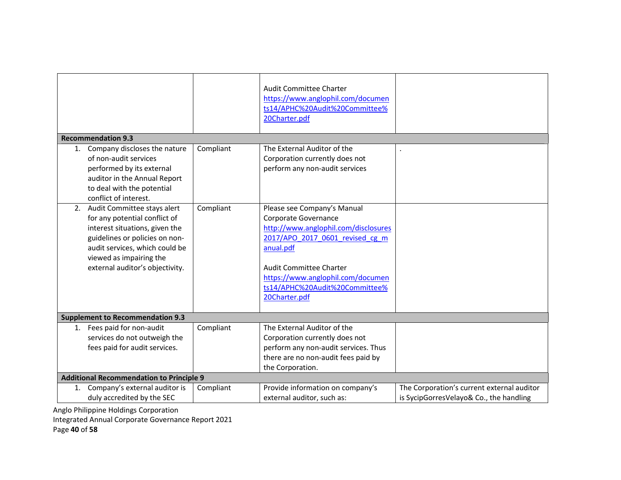|    | <b>Recommendation 9.3</b><br>1. Company discloses the nature<br>of non-audit services<br>performed by its external<br>auditor in the Annual Report<br>to deal with the potential<br>conflict of interest.                                                                                              | Compliant | Audit Committee Charter<br>https://www.anglophil.com/documen<br>ts14/APHC%20Audit%20Committee%<br>20Charter.pdf<br>The External Auditor of the<br>Corporation currently does not<br>perform any non-audit services                                                    |                                                                                       |
|----|--------------------------------------------------------------------------------------------------------------------------------------------------------------------------------------------------------------------------------------------------------------------------------------------------------|-----------|-----------------------------------------------------------------------------------------------------------------------------------------------------------------------------------------------------------------------------------------------------------------------|---------------------------------------------------------------------------------------|
| 2. | Audit Committee stays alert<br>for any potential conflict of<br>interest situations, given the<br>guidelines or policies on non-<br>audit services, which could be<br>viewed as impairing the<br>external auditor's objectivity.                                                                       | Compliant | Please see Company's Manual<br>Corporate Governance<br>http://www.anglophil.com/disclosures<br>2017/APO 2017 0601 revised cg m<br>anual.pdf<br><b>Audit Committee Charter</b><br>https://www.anglophil.com/documen<br>ts14/APHC%20Audit%20Committee%<br>20Charter.pdf |                                                                                       |
|    | <b>Supplement to Recommendation 9.3</b>                                                                                                                                                                                                                                                                |           |                                                                                                                                                                                                                                                                       |                                                                                       |
|    | 1. Fees paid for non-audit<br>services do not outweigh the<br>fees paid for audit services.                                                                                                                                                                                                            | Compliant | The External Auditor of the<br>Corporation currently does not<br>perform any non-audit services. Thus<br>there are no non-audit fees paid by<br>the Corporation.                                                                                                      |                                                                                       |
|    | <b>Additional Recommendation to Principle 9</b>                                                                                                                                                                                                                                                        |           |                                                                                                                                                                                                                                                                       |                                                                                       |
|    | 1. Company's external auditor is<br>duly accredited by the SEC<br>$\mathbf{r}$ and $\mathbf{r}$ are assumed to the contribution of the contribution of the contribution of the contribution of the contribution of the contribution of the contribution of the contribution of the contribution of the | Compliant | Provide information on company's<br>external auditor, such as:                                                                                                                                                                                                        | The Corporation's current external auditor<br>is SycipGorresVelayo& Co., the handling |

Integrated Annual Corporate Governance Report 2021

Page 40 of 58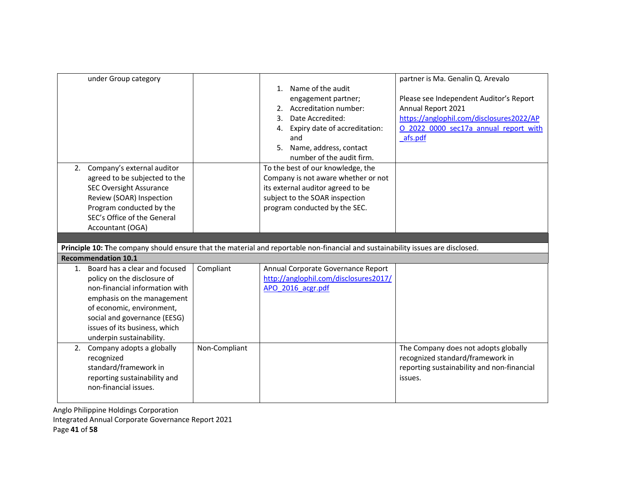| under Group category             |               |                                                                                                                                 | partner is Ma. Genalin Q. Arevalo          |
|----------------------------------|---------------|---------------------------------------------------------------------------------------------------------------------------------|--------------------------------------------|
|                                  |               | 1. Name of the audit                                                                                                            |                                            |
|                                  |               | engagement partner;                                                                                                             | Please see Independent Auditor's Report    |
|                                  |               | 2. Accreditation number:                                                                                                        | Annual Report 2021                         |
|                                  |               | 3. Date Accredited:                                                                                                             | https://anglophil.com/disclosures2022/AP   |
|                                  |               | 4. Expiry date of accreditation:                                                                                                | O 2022 0000 sec17a annual report with      |
|                                  |               | and                                                                                                                             | afs.pdf                                    |
|                                  |               | Name, address, contact<br>5.                                                                                                    |                                            |
|                                  |               | number of the audit firm.                                                                                                       |                                            |
| 2. Company's external auditor    |               | To the best of our knowledge, the                                                                                               |                                            |
| agreed to be subjected to the    |               | Company is not aware whether or not                                                                                             |                                            |
| <b>SEC Oversight Assurance</b>   |               | its external auditor agreed to be                                                                                               |                                            |
| Review (SOAR) Inspection         |               | subject to the SOAR inspection                                                                                                  |                                            |
| Program conducted by the         |               | program conducted by the SEC.                                                                                                   |                                            |
| SEC's Office of the General      |               |                                                                                                                                 |                                            |
| Accountant (OGA)                 |               |                                                                                                                                 |                                            |
|                                  |               |                                                                                                                                 |                                            |
|                                  |               |                                                                                                                                 |                                            |
|                                  |               | Principle 10: The company should ensure that the material and reportable non-financial and sustainability issues are disclosed. |                                            |
| <b>Recommendation 10.1</b>       |               |                                                                                                                                 |                                            |
| 1. Board has a clear and focused | Compliant     | Annual Corporate Governance Report                                                                                              |                                            |
| policy on the disclosure of      |               | http://anglophil.com/disclosures2017/                                                                                           |                                            |
| non-financial information with   |               | APO 2016 acgr.pdf                                                                                                               |                                            |
| emphasis on the management       |               |                                                                                                                                 |                                            |
| of economic, environment,        |               |                                                                                                                                 |                                            |
| social and governance (EESG)     |               |                                                                                                                                 |                                            |
| issues of its business, which    |               |                                                                                                                                 |                                            |
| underpin sustainability.         |               |                                                                                                                                 |                                            |
| 2. Company adopts a globally     | Non-Compliant |                                                                                                                                 | The Company does not adopts globally       |
| recognized                       |               |                                                                                                                                 | recognized standard/framework in           |
| standard/framework in            |               |                                                                                                                                 | reporting sustainability and non-financial |
| reporting sustainability and     |               |                                                                                                                                 | issues.                                    |
| non-financial issues.            |               |                                                                                                                                 |                                            |

Integrated Annual Corporate Governance Report 2021

Page 41 of 58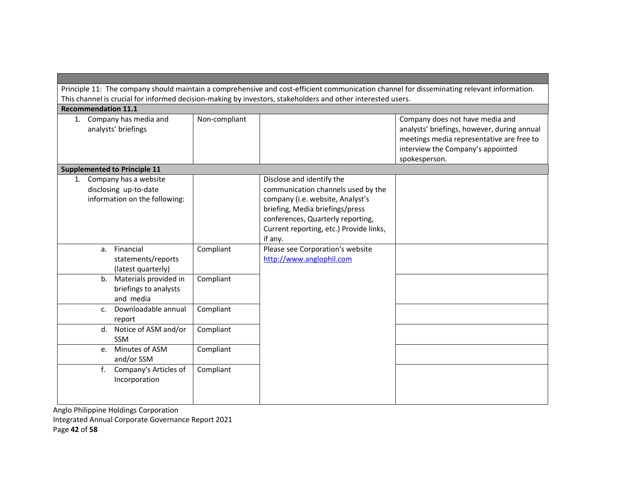| Principle 11: The company should maintain a comprehensive and cost-efficient communication channel for disseminating relevant information.<br>This channel is crucial for informed decision-making by investors, stakeholders and other interested users. |               |                                                                                                                                                                                                                                   |                                                                                                                                                                                   |
|-----------------------------------------------------------------------------------------------------------------------------------------------------------------------------------------------------------------------------------------------------------|---------------|-----------------------------------------------------------------------------------------------------------------------------------------------------------------------------------------------------------------------------------|-----------------------------------------------------------------------------------------------------------------------------------------------------------------------------------|
| <b>Recommendation 11.1</b>                                                                                                                                                                                                                                |               |                                                                                                                                                                                                                                   |                                                                                                                                                                                   |
| 1. Company has media and<br>analysts' briefings                                                                                                                                                                                                           | Non-compliant |                                                                                                                                                                                                                                   | Company does not have media and<br>analysts' briefings, however, during annual<br>meetings media representative are free to<br>interview the Company's appointed<br>spokesperson. |
| <b>Supplemented to Principle 11</b>                                                                                                                                                                                                                       |               |                                                                                                                                                                                                                                   |                                                                                                                                                                                   |
| 1. Company has a website<br>disclosing up-to-date<br>information on the following:                                                                                                                                                                        |               | Disclose and identify the<br>communication channels used by the<br>company (i.e. website, Analyst's<br>briefing, Media briefings/press<br>conferences, Quarterly reporting,<br>Current reporting, etc.) Provide links,<br>if any. |                                                                                                                                                                                   |
| a. Financial<br>statements/reports<br>(latest quarterly)                                                                                                                                                                                                  | Compliant     | Please see Corporation's website<br>http://www.anglophil.com                                                                                                                                                                      |                                                                                                                                                                                   |
| b. Materials provided in<br>briefings to analysts<br>and media                                                                                                                                                                                            | Compliant     |                                                                                                                                                                                                                                   |                                                                                                                                                                                   |
| Downloadable annual<br>C.<br>report                                                                                                                                                                                                                       | Compliant     |                                                                                                                                                                                                                                   |                                                                                                                                                                                   |
| d. Notice of ASM and/or<br><b>SSM</b>                                                                                                                                                                                                                     | Compliant     |                                                                                                                                                                                                                                   |                                                                                                                                                                                   |
| Minutes of ASM<br>e.<br>and/or SSM                                                                                                                                                                                                                        | Compliant     |                                                                                                                                                                                                                                   |                                                                                                                                                                                   |
| $f_{\cdot}$<br>Company's Articles of<br>Incorporation                                                                                                                                                                                                     | Compliant     |                                                                                                                                                                                                                                   |                                                                                                                                                                                   |

Anglo Philippine Holdings Corporation Integrated Annual Corporate Governance Report 2021

Page 42 of 58

**The State**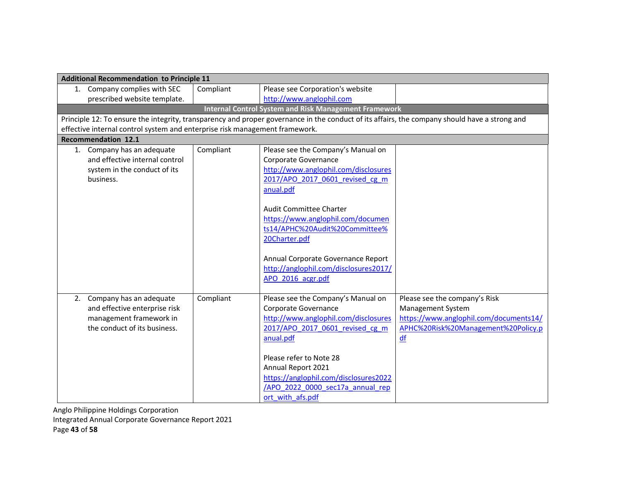| <b>Additional Recommendation to Principle 11</b>                            |           |                                                                                                                                               |                                        |
|-----------------------------------------------------------------------------|-----------|-----------------------------------------------------------------------------------------------------------------------------------------------|----------------------------------------|
| 1. Company complies with SEC                                                | Compliant | Please see Corporation's website                                                                                                              |                                        |
| prescribed website template.                                                |           | http://www.anglophil.com                                                                                                                      |                                        |
|                                                                             |           | <b>Internal Control System and Risk Management Framework</b>                                                                                  |                                        |
|                                                                             |           | Principle 12: To ensure the integrity, transparency and proper governance in the conduct of its affairs, the company should have a strong and |                                        |
| effective internal control system and enterprise risk management framework. |           |                                                                                                                                               |                                        |
| <b>Recommendation 12.1</b>                                                  |           |                                                                                                                                               |                                        |
| 1. Company has an adequate                                                  | Compliant | Please see the Company's Manual on                                                                                                            |                                        |
| and effective internal control                                              |           | Corporate Governance                                                                                                                          |                                        |
| system in the conduct of its                                                |           | http://www.anglophil.com/disclosures                                                                                                          |                                        |
| business.                                                                   |           | 2017/APO_2017_0601_revised_cg_m                                                                                                               |                                        |
|                                                                             |           | anual.pdf                                                                                                                                     |                                        |
|                                                                             |           |                                                                                                                                               |                                        |
|                                                                             |           | Audit Committee Charter<br>https://www.anglophil.com/documen                                                                                  |                                        |
|                                                                             |           | ts14/APHC%20Audit%20Committee%                                                                                                                |                                        |
|                                                                             |           | 20Charter.pdf                                                                                                                                 |                                        |
|                                                                             |           |                                                                                                                                               |                                        |
|                                                                             |           | Annual Corporate Governance Report                                                                                                            |                                        |
|                                                                             |           | http://anglophil.com/disclosures2017/                                                                                                         |                                        |
|                                                                             |           | APO 2016 acgr.pdf                                                                                                                             |                                        |
|                                                                             |           |                                                                                                                                               |                                        |
| 2. Company has an adequate                                                  | Compliant | Please see the Company's Manual on                                                                                                            | Please see the company's Risk          |
| and effective enterprise risk                                               |           | Corporate Governance                                                                                                                          | Management System                      |
| management framework in                                                     |           | http://www.anglophil.com/disclosures                                                                                                          | https://www.anglophil.com/documents14/ |
| the conduct of its business.                                                |           | 2017/APO 2017 0601 revised cg m                                                                                                               | APHC%20Risk%20Management%20Policy.p    |
|                                                                             |           | anual.pdf                                                                                                                                     | df                                     |
|                                                                             |           |                                                                                                                                               |                                        |
|                                                                             |           | Please refer to Note 28                                                                                                                       |                                        |
|                                                                             |           | Annual Report 2021                                                                                                                            |                                        |
|                                                                             |           | https://anglophil.com/disclosures2022                                                                                                         |                                        |
|                                                                             |           | /APO 2022 0000 sec17a annual rep                                                                                                              |                                        |
|                                                                             |           | ort with afs.pdf                                                                                                                              |                                        |

Integrated Annual Corporate Governance Report 2021

Page 43 of 58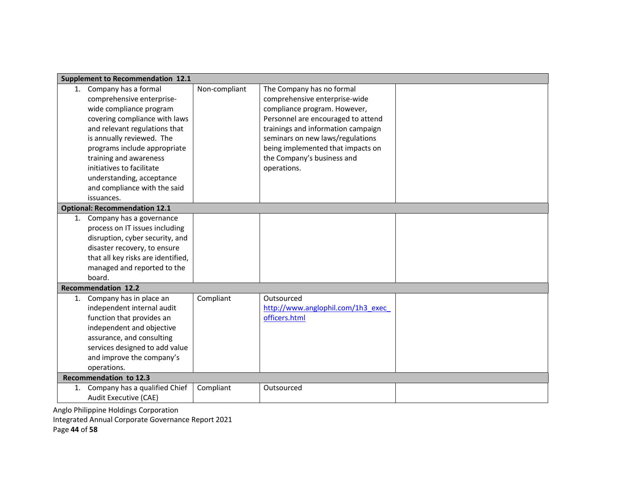|    | <b>Supplement to Recommendation 12.1</b> |               |                                    |  |
|----|------------------------------------------|---------------|------------------------------------|--|
|    | 1. Company has a formal                  | Non-compliant | The Company has no formal          |  |
|    | comprehensive enterprise-                |               | comprehensive enterprise-wide      |  |
|    | wide compliance program                  |               | compliance program. However,       |  |
|    | covering compliance with laws            |               | Personnel are encouraged to attend |  |
|    | and relevant regulations that            |               | trainings and information campaign |  |
|    | is annually reviewed. The                |               | seminars on new laws/regulations   |  |
|    | programs include appropriate             |               | being implemented that impacts on  |  |
|    | training and awareness                   |               | the Company's business and         |  |
|    | initiatives to facilitate                |               | operations.                        |  |
|    | understanding, acceptance                |               |                                    |  |
|    | and compliance with the said             |               |                                    |  |
|    | issuances.                               |               |                                    |  |
|    | <b>Optional: Recommendation 12.1</b>     |               |                                    |  |
|    | 1. Company has a governance              |               |                                    |  |
|    | process on IT issues including           |               |                                    |  |
|    | disruption, cyber security, and          |               |                                    |  |
|    | disaster recovery, to ensure             |               |                                    |  |
|    | that all key risks are identified,       |               |                                    |  |
|    | managed and reported to the              |               |                                    |  |
|    | board.                                   |               |                                    |  |
|    | <b>Recommendation 12.2</b>               |               |                                    |  |
| 1. | Company has in place an                  | Compliant     | Outsourced                         |  |
|    | independent internal audit               |               | http://www.anglophil.com/1h3 exec  |  |
|    | function that provides an                |               | officers.html                      |  |
|    | independent and objective                |               |                                    |  |
|    | assurance, and consulting                |               |                                    |  |
|    | services designed to add value           |               |                                    |  |
|    | and improve the company's                |               |                                    |  |
|    | operations.                              |               |                                    |  |
|    | Recommendation to 12.3                   |               |                                    |  |
| 1. | Company has a qualified Chief            | Compliant     | Outsourced                         |  |
|    | Audit Executive (CAE)                    |               |                                    |  |

Integrated Annual Corporate Governance Report 2021

Page 44 of 58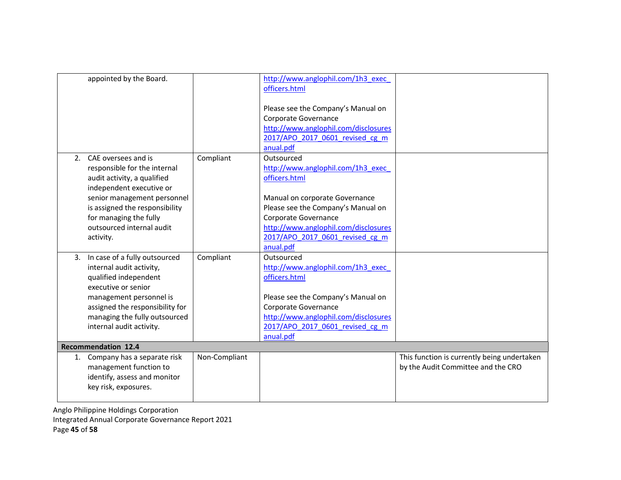|    | appointed by the Board.         |               | http://www.anglophil.com/1h3 exec<br>officers.html                                                                                    |                                             |
|----|---------------------------------|---------------|---------------------------------------------------------------------------------------------------------------------------------------|---------------------------------------------|
|    |                                 |               | Please see the Company's Manual on<br>Corporate Governance<br>http://www.anglophil.com/disclosures<br>2017/APO 2017 0601 revised cg m |                                             |
|    |                                 |               | anual.pdf                                                                                                                             |                                             |
|    | 2. CAE oversees and is          | Compliant     | Outsourced                                                                                                                            |                                             |
|    | responsible for the internal    |               | http://www.anglophil.com/1h3 exec                                                                                                     |                                             |
|    | audit activity, a qualified     |               | officers.html                                                                                                                         |                                             |
|    | independent executive or        |               |                                                                                                                                       |                                             |
|    | senior management personnel     |               | Manual on corporate Governance                                                                                                        |                                             |
|    | is assigned the responsibility  |               | Please see the Company's Manual on                                                                                                    |                                             |
|    | for managing the fully          |               | Corporate Governance                                                                                                                  |                                             |
|    | outsourced internal audit       |               | http://www.anglophil.com/disclosures                                                                                                  |                                             |
|    | activity.                       |               | 2017/APO 2017 0601 revised cg m                                                                                                       |                                             |
|    |                                 |               | anual.pdf                                                                                                                             |                                             |
| 3. | In case of a fully outsourced   | Compliant     | Outsourced                                                                                                                            |                                             |
|    | internal audit activity,        |               | http://www.anglophil.com/1h3_exec                                                                                                     |                                             |
|    | qualified independent           |               | officers.html                                                                                                                         |                                             |
|    | executive or senior             |               |                                                                                                                                       |                                             |
|    | management personnel is         |               | Please see the Company's Manual on                                                                                                    |                                             |
|    | assigned the responsibility for |               | Corporate Governance                                                                                                                  |                                             |
|    | managing the fully outsourced   |               | http://www.anglophil.com/disclosures                                                                                                  |                                             |
|    | internal audit activity.        |               | 2017/APO 2017 0601 revised cg m                                                                                                       |                                             |
|    |                                 |               | anual.pdf                                                                                                                             |                                             |
|    | <b>Recommendation 12.4</b>      |               |                                                                                                                                       |                                             |
|    | 1. Company has a separate risk  | Non-Compliant |                                                                                                                                       | This function is currently being undertaken |
|    | management function to          |               |                                                                                                                                       | by the Audit Committee and the CRO          |
|    | identify, assess and monitor    |               |                                                                                                                                       |                                             |
|    | key risk, exposures.            |               |                                                                                                                                       |                                             |
|    |                                 |               |                                                                                                                                       |                                             |

Anglo Philippine Holdings Corporation Integrated Annual Corporate Governance Report 2021 Page 45 of 58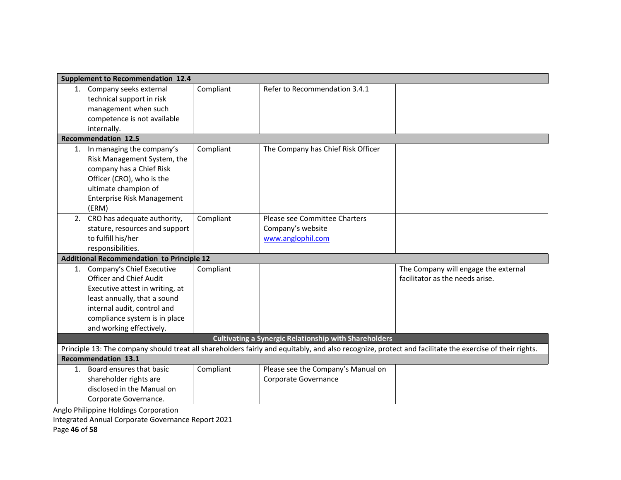| <b>Supplement to Recommendation 12.4</b>             |           |                                                              |                                                                                                                                                        |
|------------------------------------------------------|-----------|--------------------------------------------------------------|--------------------------------------------------------------------------------------------------------------------------------------------------------|
| 1. Company seeks external                            | Compliant | Refer to Recommendation 3.4.1                                |                                                                                                                                                        |
| technical support in risk                            |           |                                                              |                                                                                                                                                        |
| management when such                                 |           |                                                              |                                                                                                                                                        |
| competence is not available                          |           |                                                              |                                                                                                                                                        |
| internally.                                          |           |                                                              |                                                                                                                                                        |
| <b>Recommendation 12.5</b>                           |           |                                                              |                                                                                                                                                        |
| 1. In managing the company's                         | Compliant | The Company has Chief Risk Officer                           |                                                                                                                                                        |
| Risk Management System, the                          |           |                                                              |                                                                                                                                                        |
| company has a Chief Risk                             |           |                                                              |                                                                                                                                                        |
| Officer (CRO), who is the                            |           |                                                              |                                                                                                                                                        |
| ultimate champion of                                 |           |                                                              |                                                                                                                                                        |
| <b>Enterprise Risk Management</b>                    |           |                                                              |                                                                                                                                                        |
| (ERM)                                                |           |                                                              |                                                                                                                                                        |
| 2. CRO has adequate authority,                       | Compliant | Please see Committee Charters                                |                                                                                                                                                        |
| stature, resources and support                       |           | Company's website                                            |                                                                                                                                                        |
| to fulfill his/her                                   |           | www.anglophil.com                                            |                                                                                                                                                        |
| responsibilities.                                    |           |                                                              |                                                                                                                                                        |
| <b>Additional Recommendation to Principle 12</b>     |           |                                                              |                                                                                                                                                        |
| 1. Company's Chief Executive                         | Compliant |                                                              | The Company will engage the external                                                                                                                   |
| <b>Officer and Chief Audit</b>                       |           |                                                              | facilitator as the needs arise.                                                                                                                        |
| Executive attest in writing, at                      |           |                                                              |                                                                                                                                                        |
| least annually, that a sound                         |           |                                                              |                                                                                                                                                        |
| internal audit, control and                          |           |                                                              |                                                                                                                                                        |
| compliance system is in place                        |           |                                                              |                                                                                                                                                        |
| and working effectively.                             |           |                                                              |                                                                                                                                                        |
|                                                      |           | <b>Cultivating a Synergic Relationship with Shareholders</b> |                                                                                                                                                        |
|                                                      |           |                                                              | Principle 13: The company should treat all shareholders fairly and equitably, and also recognize, protect and facilitate the exercise of their rights. |
| <b>Recommendation 13.1</b>                           |           |                                                              |                                                                                                                                                        |
| 1. Board ensures that basic                          | Compliant | Please see the Company's Manual on                           |                                                                                                                                                        |
| shareholder rights are                               |           | Corporate Governance                                         |                                                                                                                                                        |
| disclosed in the Manual on                           |           |                                                              |                                                                                                                                                        |
| Corporate Governance.<br><b>CONTRACT AND INCOME.</b> |           |                                                              |                                                                                                                                                        |

Integrated Annual Corporate Governance Report 2021

Page 46 of 58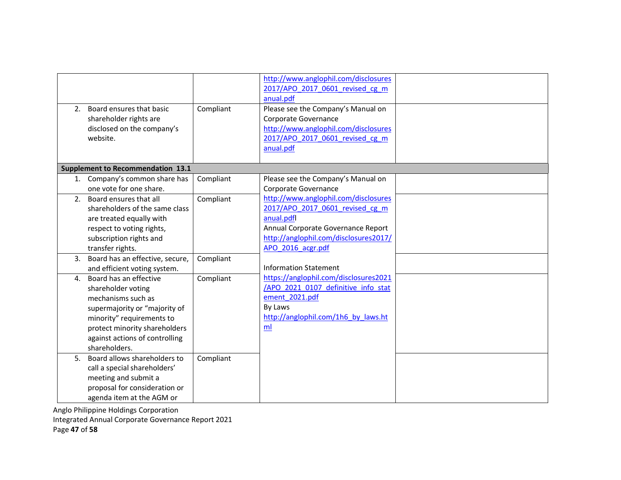|                | 2. Board ensures that basic<br>shareholder rights are<br>disclosed on the company's<br>website.                                                                                                                      | Compliant | http://www.anglophil.com/disclosures<br>2017/APO 2017 0601 revised cg m<br>anual.pdf<br>Please see the Company's Manual on<br>Corporate Governance<br>http://www.anglophil.com/disclosures<br>2017/APO 2017 0601 revised cg m<br>anual.pdf |  |
|----------------|----------------------------------------------------------------------------------------------------------------------------------------------------------------------------------------------------------------------|-----------|--------------------------------------------------------------------------------------------------------------------------------------------------------------------------------------------------------------------------------------------|--|
|                | <b>Supplement to Recommendation 13.1</b>                                                                                                                                                                             |           |                                                                                                                                                                                                                                            |  |
|                | 1. Company's common share has<br>one vote for one share.                                                                                                                                                             | Compliant | Please see the Company's Manual on<br>Corporate Governance                                                                                                                                                                                 |  |
| 2 <sub>1</sub> | Board ensures that all<br>shareholders of the same class<br>are treated equally with<br>respect to voting rights,<br>subscription rights and<br>transfer rights.                                                     | Compliant | http://www.anglophil.com/disclosures<br>2017/APO 2017 0601 revised cg m<br>anual.pdfl<br>Annual Corporate Governance Report<br>http://anglophil.com/disclosures2017/<br>APO 2016 acgr.pdf                                                  |  |
| 3.             | Board has an effective, secure,<br>and efficient voting system.                                                                                                                                                      | Compliant | <b>Information Statement</b>                                                                                                                                                                                                               |  |
| 4.             | Board has an effective<br>shareholder voting<br>mechanisms such as<br>supermajority or "majority of<br>minority" requirements to<br>protect minority shareholders<br>against actions of controlling<br>shareholders. | Compliant | https://anglophil.com/disclosures2021<br>/APO 2021 0107 definitive info stat<br>ement 2021.pdf<br>By Laws<br>http://anglophil.com/1h6 by laws.ht<br>ml                                                                                     |  |
| 5.             | Board allows shareholders to<br>call a special shareholders'<br>meeting and submit a<br>proposal for consideration or<br>agenda item at the AGM or                                                                   | Compliant |                                                                                                                                                                                                                                            |  |

Integrated Annual Corporate Governance Report 2021

Page 47 of 58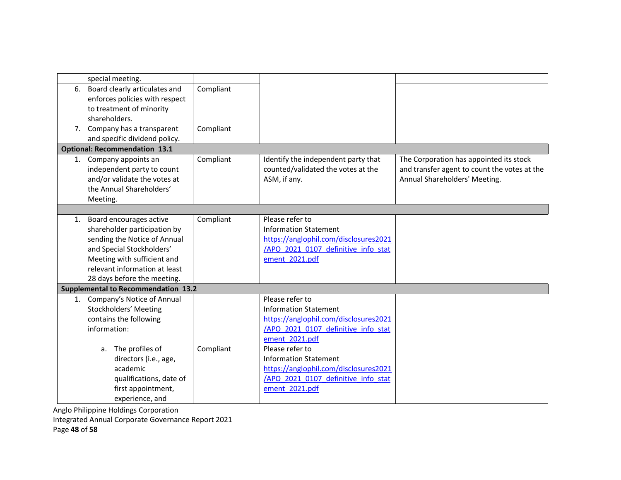| special meeting.                           |           |                                       |                                              |
|--------------------------------------------|-----------|---------------------------------------|----------------------------------------------|
|                                            |           |                                       |                                              |
| 6. Board clearly articulates and           | Compliant |                                       |                                              |
| enforces policies with respect             |           |                                       |                                              |
| to treatment of minority                   |           |                                       |                                              |
| shareholders.                              |           |                                       |                                              |
| 7. Company has a transparent               | Compliant |                                       |                                              |
| and specific dividend policy.              |           |                                       |                                              |
| <b>Optional: Recommendation 13.1</b>       |           |                                       |                                              |
| 1. Company appoints an                     | Compliant | Identify the independent party that   | The Corporation has appointed its stock      |
| independent party to count                 |           | counted/validated the votes at the    | and transfer agent to count the votes at the |
| and/or validate the votes at               |           | ASM, if any.                          | Annual Shareholders' Meeting.                |
| the Annual Shareholders'                   |           |                                       |                                              |
| Meeting.                                   |           |                                       |                                              |
|                                            |           |                                       |                                              |
| 1. Board encourages active                 | Compliant | Please refer to                       |                                              |
| shareholder participation by               |           | <b>Information Statement</b>          |                                              |
| sending the Notice of Annual               |           | https://anglophil.com/disclosures2021 |                                              |
| and Special Stockholders'                  |           | /APO 2021 0107 definitive info stat   |                                              |
| Meeting with sufficient and                |           | ement 2021.pdf                        |                                              |
| relevant information at least              |           |                                       |                                              |
| 28 days before the meeting.                |           |                                       |                                              |
| <b>Supplemental to Recommendation 13.2</b> |           |                                       |                                              |
| 1. Company's Notice of Annual              |           | Please refer to                       |                                              |
| Stockholders' Meeting                      |           | <b>Information Statement</b>          |                                              |
| contains the following                     |           | https://anglophil.com/disclosures2021 |                                              |
| information:                               |           | /APO 2021 0107 definitive info stat   |                                              |
|                                            |           | ement 2021.pdf                        |                                              |
| a. The profiles of                         | Compliant | Please refer to                       |                                              |
| directors (i.e., age,                      |           | <b>Information Statement</b>          |                                              |
| academic                                   |           | https://anglophil.com/disclosures2021 |                                              |
| qualifications, date of                    |           | /APO 2021 0107 definitive info stat   |                                              |
| first appointment,                         |           | ement 2021.pdf                        |                                              |
| experience, and                            |           |                                       |                                              |
|                                            |           |                                       |                                              |

Integrated Annual Corporate Governance Report 2021

Page 48 of 58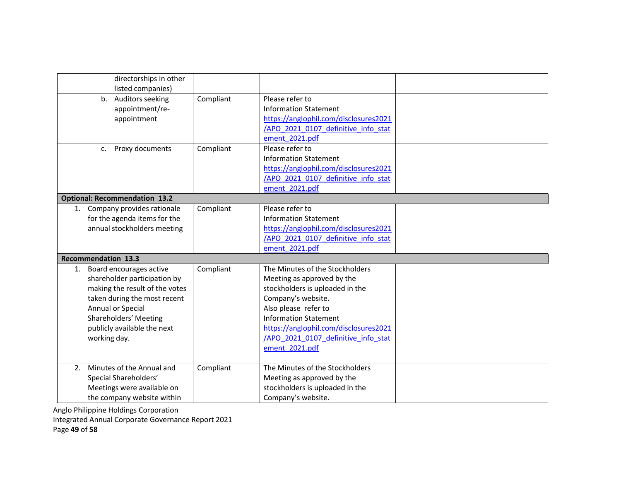| directorships in other<br>listed companies)                                                                                                                                                                                  |           |                                                                                                                                                                                                                                                                                  |  |
|------------------------------------------------------------------------------------------------------------------------------------------------------------------------------------------------------------------------------|-----------|----------------------------------------------------------------------------------------------------------------------------------------------------------------------------------------------------------------------------------------------------------------------------------|--|
| Auditors seeking<br>$b_{\cdot}$<br>appointment/re-<br>appointment                                                                                                                                                            | Compliant | Please refer to<br><b>Information Statement</b><br>https://anglophil.com/disclosures2021<br>/APO 2021 0107 definitive info stat<br>ement 2021.pdf                                                                                                                                |  |
| Proxy documents<br>c.                                                                                                                                                                                                        | Compliant | Please refer to<br><b>Information Statement</b><br>https://anglophil.com/disclosures2021<br>/APO 2021 0107 definitive info stat<br>ement 2021.pdf                                                                                                                                |  |
| <b>Optional: Recommendation 13.2</b>                                                                                                                                                                                         |           |                                                                                                                                                                                                                                                                                  |  |
| 1. Company provides rationale<br>for the agenda items for the<br>annual stockholders meeting                                                                                                                                 | Compliant | Please refer to<br><b>Information Statement</b><br>https://anglophil.com/disclosures2021<br>/APO 2021 0107 definitive info stat<br>ement 2021.pdf                                                                                                                                |  |
| <b>Recommendation 13.3</b>                                                                                                                                                                                                   |           |                                                                                                                                                                                                                                                                                  |  |
| Board encourages active<br>1.<br>shareholder participation by<br>making the result of the votes<br>taken during the most recent<br>Annual or Special<br>Shareholders' Meeting<br>publicly available the next<br>working day. | Compliant | The Minutes of the Stockholders<br>Meeting as approved by the<br>stockholders is uploaded in the<br>Company's website.<br>Also please refer to<br><b>Information Statement</b><br>https://anglophil.com/disclosures2021<br>/APO 2021 0107 definitive info stat<br>ement 2021.pdf |  |
| Minutes of the Annual and<br>2 <sub>1</sub><br>Special Shareholders'<br>Meetings were available on<br>the company website within                                                                                             | Compliant | The Minutes of the Stockholders<br>Meeting as approved by the<br>stockholders is uploaded in the<br>Company's website.                                                                                                                                                           |  |

Integrated Annual Corporate Governance Report 2021

Page 49 of 58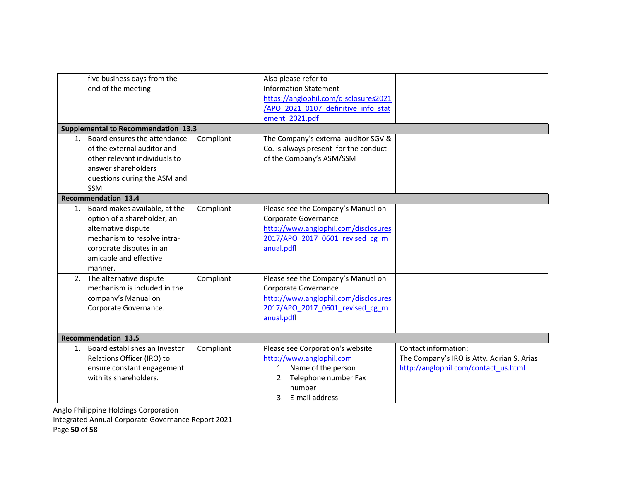|                                            | five business days from the<br>end of the meeting |           | Also please refer to<br><b>Information Statement</b><br>https://anglophil.com/disclosures2021<br>/APO 2021 0107 definitive info stat<br>ement 2021.pdf |                                            |  |
|--------------------------------------------|---------------------------------------------------|-----------|--------------------------------------------------------------------------------------------------------------------------------------------------------|--------------------------------------------|--|
| <b>Supplemental to Recommendation 13.3</b> |                                                   |           |                                                                                                                                                        |                                            |  |
|                                            | 1. Board ensures the attendance                   | Compliant | The Company's external auditor SGV &                                                                                                                   |                                            |  |
|                                            | of the external auditor and                       |           | Co. is always present for the conduct                                                                                                                  |                                            |  |
|                                            | other relevant individuals to                     |           | of the Company's ASM/SSM                                                                                                                               |                                            |  |
|                                            | answer shareholders                               |           |                                                                                                                                                        |                                            |  |
|                                            | questions during the ASM and                      |           |                                                                                                                                                        |                                            |  |
|                                            | <b>SSM</b>                                        |           |                                                                                                                                                        |                                            |  |
|                                            | <b>Recommendation 13.4</b>                        |           |                                                                                                                                                        |                                            |  |
|                                            | 1. Board makes available, at the                  | Compliant | Please see the Company's Manual on                                                                                                                     |                                            |  |
|                                            | option of a shareholder, an                       |           | Corporate Governance                                                                                                                                   |                                            |  |
|                                            | alternative dispute                               |           | http://www.anglophil.com/disclosures                                                                                                                   |                                            |  |
|                                            | mechanism to resolve intra-                       |           | 2017/APO 2017 0601 revised cg m                                                                                                                        |                                            |  |
|                                            | corporate disputes in an                          |           | anual.pdfl                                                                                                                                             |                                            |  |
|                                            | amicable and effective                            |           |                                                                                                                                                        |                                            |  |
|                                            | manner.                                           |           |                                                                                                                                                        |                                            |  |
|                                            | 2. The alternative dispute                        | Compliant | Please see the Company's Manual on                                                                                                                     |                                            |  |
|                                            | mechanism is included in the                      |           | Corporate Governance                                                                                                                                   |                                            |  |
|                                            | company's Manual on                               |           | http://www.anglophil.com/disclosures                                                                                                                   |                                            |  |
|                                            | Corporate Governance.                             |           | 2017/APO 2017 0601 revised cg m                                                                                                                        |                                            |  |
|                                            |                                                   |           | anual.pdfl                                                                                                                                             |                                            |  |
|                                            | <b>Recommendation 13.5</b>                        |           |                                                                                                                                                        |                                            |  |
| 1.                                         | Board establishes an Investor                     | Compliant | Please see Corporation's website                                                                                                                       | Contact information:                       |  |
|                                            | Relations Officer (IRO) to                        |           | http://www.anglophil.com                                                                                                                               | The Company's IRO is Atty. Adrian S. Arias |  |
|                                            | ensure constant engagement                        |           | 1. Name of the person                                                                                                                                  | http://anglophil.com/contact_us.html       |  |
|                                            | with its shareholders.                            |           | Telephone number Fax<br>2.                                                                                                                             |                                            |  |
|                                            |                                                   |           | number                                                                                                                                                 |                                            |  |
|                                            |                                                   |           | 3. E-mail address                                                                                                                                      |                                            |  |

Integrated Annual Corporate Governance Report 2021

Page 50 of 58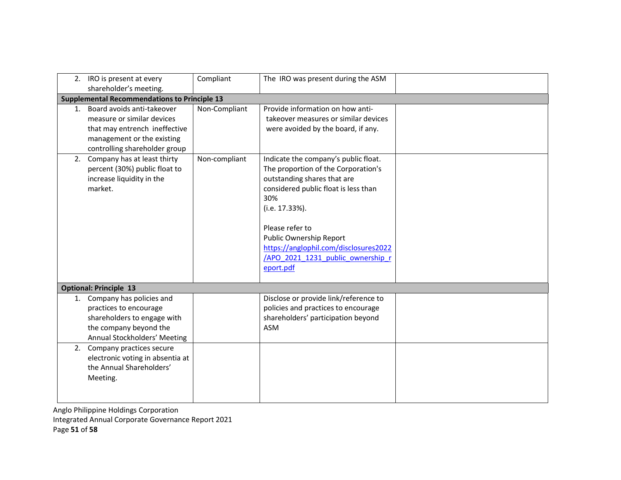|    | 2. IRO is present at every<br>shareholder's meeting.                                                                                                     | Compliant     | The IRO was present during the ASM                                                                                                                                                                                                                                                                                   |  |  |  |  |
|----|----------------------------------------------------------------------------------------------------------------------------------------------------------|---------------|----------------------------------------------------------------------------------------------------------------------------------------------------------------------------------------------------------------------------------------------------------------------------------------------------------------------|--|--|--|--|
|    | <b>Supplemental Recommendations to Principle 13</b>                                                                                                      |               |                                                                                                                                                                                                                                                                                                                      |  |  |  |  |
| 1. | Board avoids anti-takeover<br>measure or similar devices<br>that may entrench ineffective<br>management or the existing<br>controlling shareholder group | Non-Compliant | Provide information on how anti-<br>takeover measures or similar devices<br>were avoided by the board, if any.                                                                                                                                                                                                       |  |  |  |  |
|    | 2. Company has at least thirty<br>percent (30%) public float to<br>increase liquidity in the<br>market.                                                  | Non-compliant | Indicate the company's public float.<br>The proportion of the Corporation's<br>outstanding shares that are<br>considered public float is less than<br>30%<br>(i.e. 17.33%).<br>Please refer to<br>Public Ownership Report<br>https://anglophil.com/disclosures2022<br>/APO 2021 1231 public ownership r<br>eport.pdf |  |  |  |  |
|    | <b>Optional: Principle 13</b>                                                                                                                            |               |                                                                                                                                                                                                                                                                                                                      |  |  |  |  |
|    | 1. Company has policies and<br>practices to encourage<br>shareholders to engage with<br>the company beyond the<br>Annual Stockholders' Meeting           |               | Disclose or provide link/reference to<br>policies and practices to encourage<br>shareholders' participation beyond<br><b>ASM</b>                                                                                                                                                                                     |  |  |  |  |
|    | 2. Company practices secure<br>electronic voting in absentia at<br>the Annual Shareholders'<br>Meeting.                                                  |               |                                                                                                                                                                                                                                                                                                                      |  |  |  |  |

Integrated Annual Corporate Governance Report 2021

Page 51 of 58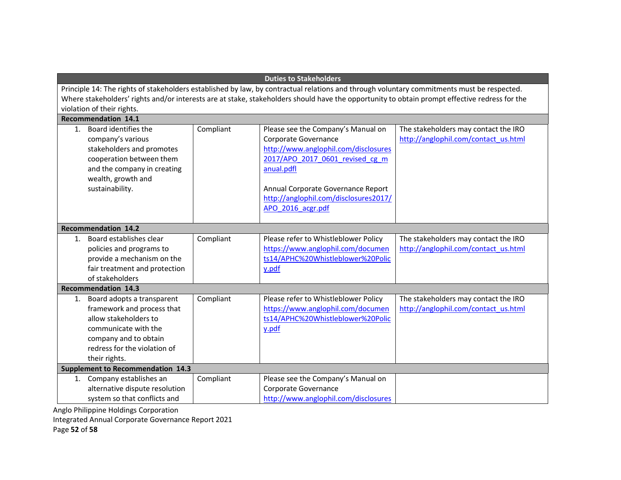| <b>Duties to Stakeholders</b>                                                                                                                                                                                                                                                                                             |           |                                                                                                                                                                                                                                                         |                                                                              |  |  |  |
|---------------------------------------------------------------------------------------------------------------------------------------------------------------------------------------------------------------------------------------------------------------------------------------------------------------------------|-----------|---------------------------------------------------------------------------------------------------------------------------------------------------------------------------------------------------------------------------------------------------------|------------------------------------------------------------------------------|--|--|--|
| Principle 14: The rights of stakeholders established by law, by contractual relations and through voluntary commitments must be respected.<br>Where stakeholders' rights and/or interests are at stake, stakeholders should have the opportunity to obtain prompt effective redress for the<br>violation of their rights. |           |                                                                                                                                                                                                                                                         |                                                                              |  |  |  |
| <b>Recommendation 14.1</b>                                                                                                                                                                                                                                                                                                |           |                                                                                                                                                                                                                                                         |                                                                              |  |  |  |
| Board identifies the<br>$1_{-}$<br>company's various<br>stakeholders and promotes<br>cooperation between them<br>and the company in creating<br>wealth, growth and<br>sustainability.                                                                                                                                     | Compliant | Please see the Company's Manual on<br>Corporate Governance<br>http://www.anglophil.com/disclosures<br>2017/APO 2017 0601 revised cg m<br>anual.pdfl<br>Annual Corporate Governance Report<br>http://anglophil.com/disclosures2017/<br>APO 2016 acgr.pdf | The stakeholders may contact the IRO<br>http://anglophil.com/contact_us.html |  |  |  |
| <b>Recommendation 14.2</b>                                                                                                                                                                                                                                                                                                |           |                                                                                                                                                                                                                                                         |                                                                              |  |  |  |
| Board establishes clear<br>$1_{-}$<br>policies and programs to<br>provide a mechanism on the<br>fair treatment and protection<br>of stakeholders                                                                                                                                                                          | Compliant | Please refer to Whistleblower Policy<br>https://www.anglophil.com/documen<br>ts14/APHC%20Whistleblower%20Polic<br>y.pdf                                                                                                                                 | The stakeholders may contact the IRO<br>http://anglophil.com/contact_us.html |  |  |  |
| <b>Recommendation 14.3</b>                                                                                                                                                                                                                                                                                                |           |                                                                                                                                                                                                                                                         |                                                                              |  |  |  |
| Board adopts a transparent<br>1.<br>framework and process that<br>allow stakeholders to<br>communicate with the<br>company and to obtain<br>redress for the violation of<br>their rights.                                                                                                                                 | Compliant | Please refer to Whistleblower Policy<br>https://www.anglophil.com/documen<br>ts14/APHC%20Whistleblower%20Polic<br>y.pdf                                                                                                                                 | The stakeholders may contact the IRO<br>http://anglophil.com/contact_us.html |  |  |  |
| <b>Supplement to Recommendation 14.3</b>                                                                                                                                                                                                                                                                                  |           |                                                                                                                                                                                                                                                         |                                                                              |  |  |  |
| 1. Company establishes an<br>alternative dispute resolution<br>system so that conflicts and                                                                                                                                                                                                                               | Compliant | Please see the Company's Manual on<br>Corporate Governance<br>http://www.anglophil.com/disclosures                                                                                                                                                      |                                                                              |  |  |  |

Integrated Annual Corporate Governance Report 2021

Page 52 of 58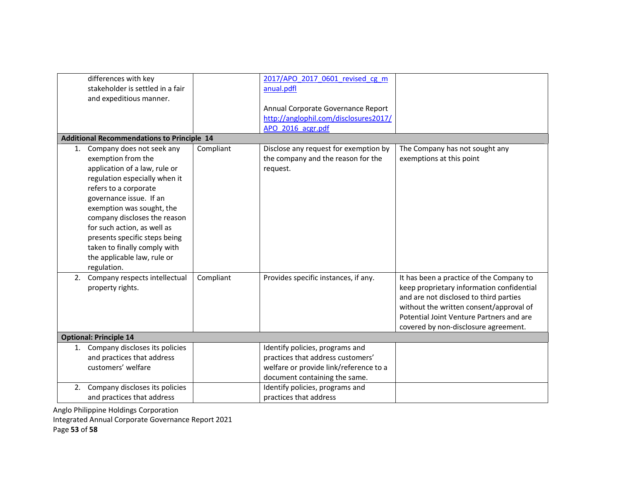| differences with key<br>stakeholder is settled in a fair<br>and expeditious manner.                                                                                                                                                                                                                                                                                                 |           | 2017/APO 2017 0601 revised cg m<br>anual.pdfl<br>Annual Corporate Governance Report<br>http://anglophil.com/disclosures2017/<br>APO 2016 acgr.pdf |                                                                                                                                                                                                                                                                |
|-------------------------------------------------------------------------------------------------------------------------------------------------------------------------------------------------------------------------------------------------------------------------------------------------------------------------------------------------------------------------------------|-----------|---------------------------------------------------------------------------------------------------------------------------------------------------|----------------------------------------------------------------------------------------------------------------------------------------------------------------------------------------------------------------------------------------------------------------|
| <b>Additional Recommendations to Principle 14</b>                                                                                                                                                                                                                                                                                                                                   |           |                                                                                                                                                   |                                                                                                                                                                                                                                                                |
| 1. Company does not seek any<br>exemption from the<br>application of a law, rule or<br>regulation especially when it<br>refers to a corporate<br>governance issue. If an<br>exemption was sought, the<br>company discloses the reason<br>for such action, as well as<br>presents specific steps being<br>taken to finally comply with<br>the applicable law, rule or<br>regulation. | Compliant | Disclose any request for exemption by<br>the company and the reason for the<br>request.                                                           | The Company has not sought any<br>exemptions at this point                                                                                                                                                                                                     |
| Company respects intellectual<br>2.<br>property rights.                                                                                                                                                                                                                                                                                                                             | Compliant | Provides specific instances, if any.                                                                                                              | It has been a practice of the Company to<br>keep proprietary information confidential<br>and are not disclosed to third parties<br>without the written consent/approval of<br>Potential Joint Venture Partners and are<br>covered by non-disclosure agreement. |
| <b>Optional: Principle 14</b>                                                                                                                                                                                                                                                                                                                                                       |           |                                                                                                                                                   |                                                                                                                                                                                                                                                                |
| 1. Company discloses its policies<br>and practices that address<br>customers' welfare                                                                                                                                                                                                                                                                                               |           | Identify policies, programs and<br>practices that address customers'<br>welfare or provide link/reference to a<br>document containing the same.   |                                                                                                                                                                                                                                                                |
| Company discloses its policies<br>2.<br>and practices that address                                                                                                                                                                                                                                                                                                                  |           | Identify policies, programs and<br>practices that address                                                                                         |                                                                                                                                                                                                                                                                |

Integrated Annual Corporate Governance Report 2021

Page 53 of 58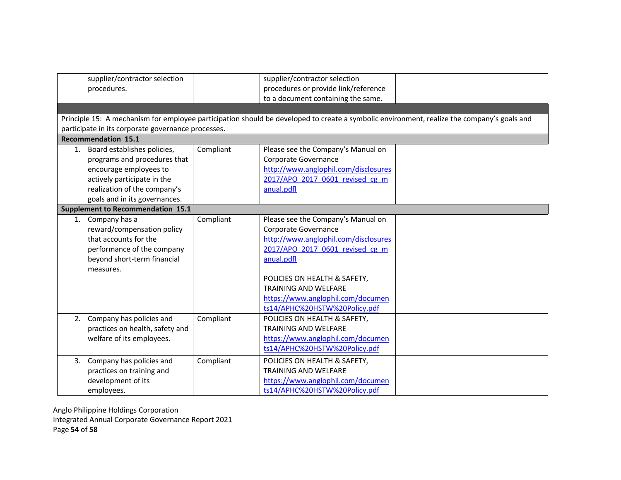|    | supplier/contractor selection<br>procedures.<br>participate in its corporate governance processes.<br>Recommendation 15.1                                                                |           | supplier/contractor selection<br>procedures or provide link/reference<br>to a document containing the same.<br>Principle 15: A mechanism for employee participation should be developed to create a symbolic environment, realize the company's goals and                                |
|----|------------------------------------------------------------------------------------------------------------------------------------------------------------------------------------------|-----------|------------------------------------------------------------------------------------------------------------------------------------------------------------------------------------------------------------------------------------------------------------------------------------------|
|    | 1. Board establishes policies,<br>programs and procedures that<br>encourage employees to<br>actively participate in the<br>realization of the company's<br>goals and in its governances. | Compliant | Please see the Company's Manual on<br>Corporate Governance<br>http://www.anglophil.com/disclosures<br>2017/APO 2017 0601 revised cg m<br>anual.pdfl                                                                                                                                      |
|    | <b>Supplement to Recommendation 15.1</b>                                                                                                                                                 |           |                                                                                                                                                                                                                                                                                          |
|    | 1. Company has a<br>reward/compensation policy<br>that accounts for the<br>performance of the company<br>beyond short-term financial<br>measures.                                        | Compliant | Please see the Company's Manual on<br>Corporate Governance<br>http://www.anglophil.com/disclosures<br>2017/APO 2017 0601 revised cg m<br>anual.pdfl<br>POLICIES ON HEALTH & SAFETY,<br><b>TRAINING AND WELFARE</b><br>https://www.anglophil.com/documen<br>ts14/APHC%20HSTW%20Policy.pdf |
| 2. | Company has policies and<br>practices on health, safety and<br>welfare of its employees.                                                                                                 | Compliant | POLICIES ON HEALTH & SAFETY,<br><b>TRAINING AND WELFARE</b><br>https://www.anglophil.com/documen<br>ts14/APHC%20HSTW%20Policy.pdf                                                                                                                                                        |
| 3. | Company has policies and<br>practices on training and<br>development of its<br>employees.                                                                                                | Compliant | POLICIES ON HEALTH & SAFETY,<br><b>TRAINING AND WELFARE</b><br>https://www.anglophil.com/documen<br>ts14/APHC%20HSTW%20Policy.pdf                                                                                                                                                        |

Anglo Philippine Holdings Corporation Integrated Annual Corporate Governance Report 2021 Page 54 of 58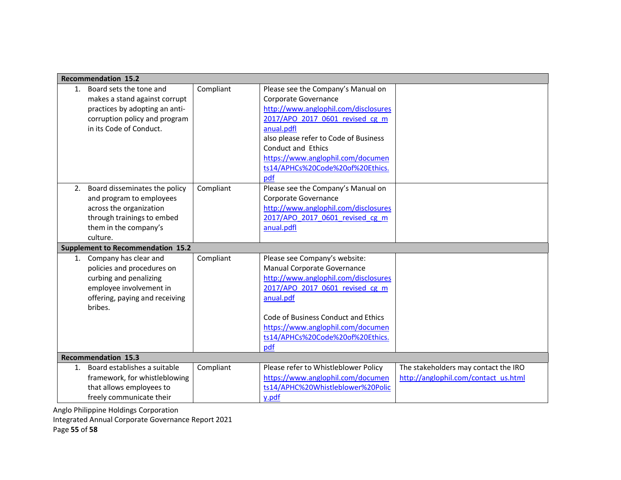|         | <b>Recommendation 15.2</b>               |           |                                       |                                      |
|---------|------------------------------------------|-----------|---------------------------------------|--------------------------------------|
| $1_{-}$ | Board sets the tone and                  | Compliant | Please see the Company's Manual on    |                                      |
|         | makes a stand against corrupt            |           | Corporate Governance                  |                                      |
|         | practices by adopting an anti-           |           | http://www.anglophil.com/disclosures  |                                      |
|         | corruption policy and program            |           | 2017/APO 2017 0601 revised cg m       |                                      |
|         | in its Code of Conduct.                  |           | anual.pdfl                            |                                      |
|         |                                          |           | also please refer to Code of Business |                                      |
|         |                                          |           | <b>Conduct and Ethics</b>             |                                      |
|         |                                          |           | https://www.anglophil.com/documen     |                                      |
|         |                                          |           | ts14/APHCs%20Code%20of%20Ethics.      |                                      |
|         |                                          |           | pdf                                   |                                      |
| 2.      | Board disseminates the policy            | Compliant | Please see the Company's Manual on    |                                      |
|         | and program to employees                 |           | Corporate Governance                  |                                      |
|         | across the organization                  |           | http://www.anglophil.com/disclosures  |                                      |
|         | through trainings to embed               |           | 2017/APO 2017 0601 revised cg m       |                                      |
|         | them in the company's                    |           | anual.pdfl                            |                                      |
|         | culture.                                 |           |                                       |                                      |
|         | <b>Supplement to Recommendation 15.2</b> |           |                                       |                                      |
|         | 1. Company has clear and                 | Compliant | Please see Company's website:         |                                      |
|         | policies and procedures on               |           | Manual Corporate Governance           |                                      |
|         | curbing and penalizing                   |           | http://www.anglophil.com/disclosures  |                                      |
|         | employee involvement in                  |           | 2017/APO 2017 0601 revised cg m       |                                      |
|         | offering, paying and receiving           |           | anual.pdf                             |                                      |
|         | bribes.                                  |           |                                       |                                      |
|         |                                          |           | Code of Business Conduct and Ethics   |                                      |
|         |                                          |           | https://www.anglophil.com/documen     |                                      |
|         |                                          |           | ts14/APHCs%20Code%20of%20Ethics.      |                                      |
|         |                                          |           | pdf                                   |                                      |
|         | <b>Recommendation 15.3</b>               |           |                                       |                                      |
| 1.      | Board establishes a suitable             | Compliant | Please refer to Whistleblower Policy  | The stakeholders may contact the IRO |
|         | framework, for whistleblowing            |           | https://www.anglophil.com/documen     | http://anglophil.com/contact_us.html |
|         | that allows employees to                 |           | ts14/APHC%20Whistleblower%20Polic     |                                      |
|         | freely communicate their                 |           | y.pdf                                 |                                      |

Integrated Annual Corporate Governance Report 2021

Page 55 of 58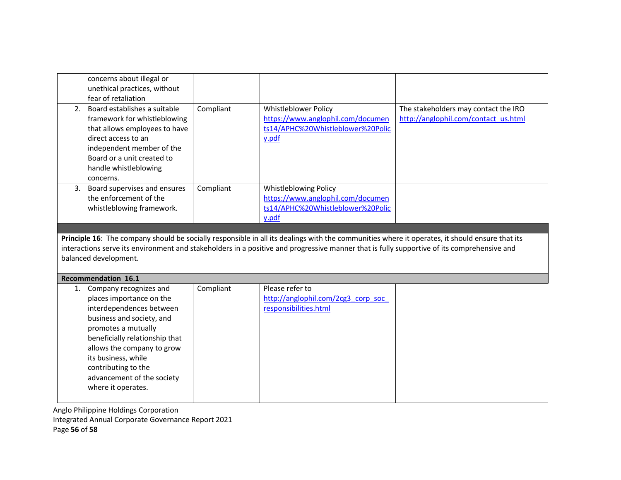|    | concerns about illegal or<br>unethical practices, without<br>fear of retaliation                                                                                                                                      |           |                                                                                                                                                                                                                                                                                              |                                                                              |
|----|-----------------------------------------------------------------------------------------------------------------------------------------------------------------------------------------------------------------------|-----------|----------------------------------------------------------------------------------------------------------------------------------------------------------------------------------------------------------------------------------------------------------------------------------------------|------------------------------------------------------------------------------|
| 2. | Board establishes a suitable<br>framework for whistleblowing<br>that allows employees to have<br>direct access to an<br>independent member of the<br>Board or a unit created to<br>handle whistleblowing<br>concerns. | Compliant | Whistleblower Policy<br>https://www.anglophil.com/documen<br>ts14/APHC%20Whistleblower%20Polic<br>y.pdf                                                                                                                                                                                      | The stakeholders may contact the IRO<br>http://anglophil.com/contact_us.html |
|    | 3. Board supervises and ensures<br>the enforcement of the<br>whistleblowing framework.                                                                                                                                | Compliant | Whistleblowing Policy<br>https://www.anglophil.com/documen<br>ts14/APHC%20Whistleblower%20Polic<br>y.pdf                                                                                                                                                                                     |                                                                              |
|    |                                                                                                                                                                                                                       |           |                                                                                                                                                                                                                                                                                              |                                                                              |
|    | balanced development.                                                                                                                                                                                                 |           | Principle 16: The company should be socially responsible in all its dealings with the communities where it operates, it should ensure that its<br>interactions serve its environment and stakeholders in a positive and progressive manner that is fully supportive of its comprehensive and |                                                                              |
|    | <b>Recommendation 16.1</b>                                                                                                                                                                                            |           |                                                                                                                                                                                                                                                                                              |                                                                              |
| 1. | Company recognizes and                                                                                                                                                                                                | Compliant |                                                                                                                                                                                                                                                                                              |                                                                              |

Anglo Philippine Holdings Corporation Integrated Annual Corporate Governance Report 2021 Page 56 of 58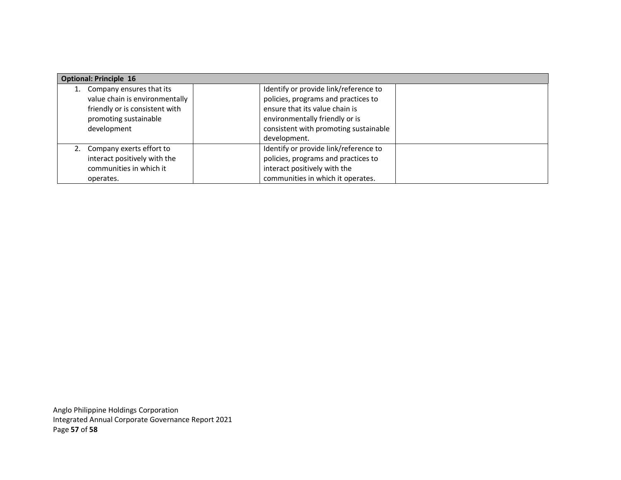| <b>Optional: Principle 16</b>  |  |                                       |  |  |
|--------------------------------|--|---------------------------------------|--|--|
| Company ensures that its       |  | Identify or provide link/reference to |  |  |
| value chain is environmentally |  | policies, programs and practices to   |  |  |
| friendly or is consistent with |  | ensure that its value chain is        |  |  |
| promoting sustainable          |  | environmentally friendly or is        |  |  |
| development                    |  | consistent with promoting sustainable |  |  |
|                                |  | development.                          |  |  |
| 2. Company exerts effort to    |  | Identify or provide link/reference to |  |  |
| interact positively with the   |  | policies, programs and practices to   |  |  |
| communities in which it        |  | interact positively with the          |  |  |
| operates.                      |  | communities in which it operates.     |  |  |